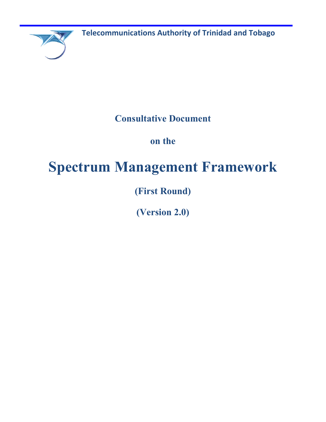**Telecommunications Authority of Trinidad and Tobago**

**Consultative Document**

**on the** 

# **Spectrum Management Framework**

**(First Round)**

**(Version 2.0)**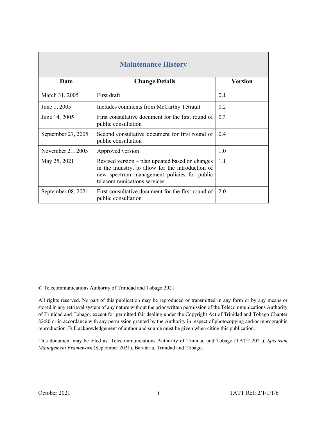| <b>Maintenance History</b> |                                                                                                                                                                                    |                |
|----------------------------|------------------------------------------------------------------------------------------------------------------------------------------------------------------------------------|----------------|
| Date                       | <b>Change Details</b>                                                                                                                                                              | <b>Version</b> |
| March 31, 2005             | First draft                                                                                                                                                                        | 0.1            |
| June 1, 2005               | Includes comments from McCarthy Tétrault                                                                                                                                           | 0.2            |
| June 14, 2005              | First consultative document for the first round of<br>public consultation                                                                                                          | 0.3            |
| September 27, 2005         | Second consultative document for first round of<br>public consultation                                                                                                             | 0.4            |
| November 21, 2005          | Approved version                                                                                                                                                                   | 1.0            |
| May 25, 2021               | Revised version - plan updated based on changes<br>in the industry, to allow for the introduction of<br>new spectrum management policies for public<br>telecommunications services | 1.1            |
| September 08, 2021         | First consultative document for the first round of<br>public consultation                                                                                                          | 2.0            |

© Telecommunications Authority of Trinidad and Tobago 2021

All rights reserved. No part of this publication may be reproduced or transmitted in any form or by any means or stored in any retrieval system of any nature without the prior written permission of the Telecommunications Authority of Trinidad and Tobago, except for permitted fair dealing under the Copyright Act of Trinidad and Tobago Chapter 82:80 or in accordance with any permission granted by the Authority in respect of photocopying and/or reprographic reproduction. Full acknowledgement of author and source must be given when citing this publication.

This document may be cited as: Telecommunications Authority of Trinidad and Tobago (TATT 2021). *Spectrum Management Framework* (September 2021). Barataria, Trinidad and Tobago.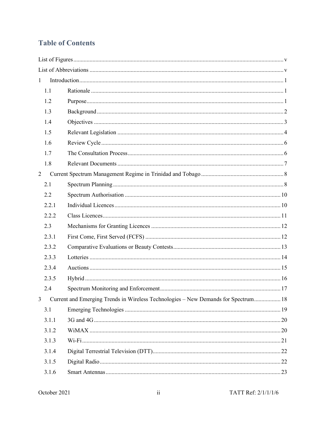# **Table of Contents**

| $\mathbf{1}$   |       |                                                                                    |  |
|----------------|-------|------------------------------------------------------------------------------------|--|
|                | 1.1   |                                                                                    |  |
|                | 1.2   |                                                                                    |  |
|                | 1.3   |                                                                                    |  |
|                | 1.4   |                                                                                    |  |
|                | 1.5   |                                                                                    |  |
|                | 1.6   |                                                                                    |  |
|                | 1.7   |                                                                                    |  |
|                | 1.8   |                                                                                    |  |
| $\overline{2}$ |       |                                                                                    |  |
|                | 2.1   |                                                                                    |  |
|                | 2.2   |                                                                                    |  |
|                | 2.2.1 |                                                                                    |  |
|                | 2.2.2 |                                                                                    |  |
|                | 2.3   |                                                                                    |  |
|                | 2.3.1 |                                                                                    |  |
|                | 2.3.2 |                                                                                    |  |
|                | 2.3.3 |                                                                                    |  |
|                | 2.3.4 |                                                                                    |  |
|                | 2.3.5 |                                                                                    |  |
|                | 2.4   |                                                                                    |  |
| 3              |       | Current and Emerging Trends in Wireless Technologies - New Demands for Spectrum 18 |  |
|                | 3.1   |                                                                                    |  |
|                | 3.1.1 |                                                                                    |  |
|                | 3.1.2 |                                                                                    |  |
|                | 3.1.3 |                                                                                    |  |
|                | 3.1.4 |                                                                                    |  |
|                | 3.1.5 |                                                                                    |  |
|                | 3.1.6 |                                                                                    |  |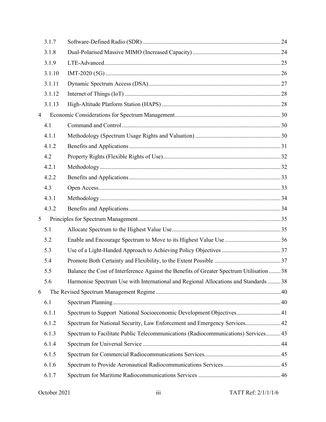|   | 3.1.7  |                                                                                           |  |
|---|--------|-------------------------------------------------------------------------------------------|--|
|   | 3.1.8  |                                                                                           |  |
|   | 3.1.9  |                                                                                           |  |
|   | 3.1.10 |                                                                                           |  |
|   | 3.1.11 |                                                                                           |  |
|   | 3.1.12 |                                                                                           |  |
|   | 3.1.13 |                                                                                           |  |
| 4 |        |                                                                                           |  |
|   | 4.1    |                                                                                           |  |
|   | 4.1.1  |                                                                                           |  |
|   | 4.1.2  |                                                                                           |  |
|   | 4.2    |                                                                                           |  |
|   | 4.2.1  |                                                                                           |  |
|   | 4.2.2  |                                                                                           |  |
|   | 4.3    |                                                                                           |  |
|   | 4.3.1  |                                                                                           |  |
|   | 4.3.2  |                                                                                           |  |
| 5 |        |                                                                                           |  |
|   | 5.1    |                                                                                           |  |
|   | 5.2    |                                                                                           |  |
|   | 5.3    |                                                                                           |  |
|   | 5.4    |                                                                                           |  |
|   | 5.5    | Balance the Cost of Interference Against the Benefits of Greater Spectrum Utilisation  38 |  |
|   | 5.6    | Harmonise Spectrum Use with International and Regional Allocations and Standards38        |  |
| 6 |        |                                                                                           |  |
|   | 6.1    |                                                                                           |  |
|   | 6.1.1  | Spectrum to Support National Socioeconomic Development Objectives41                       |  |
|   | 6.1.2  | Spectrum for National Security, Law Enforcement and Emergency Services 42                 |  |
|   | 6.1.3  | Spectrum to Facilitate Public Telecommunications (Radiocommunications) Services 43        |  |
|   | 6.1.4  |                                                                                           |  |
|   | 6.1.5  |                                                                                           |  |
|   | 6.1.6  |                                                                                           |  |
|   | 6.1.7  |                                                                                           |  |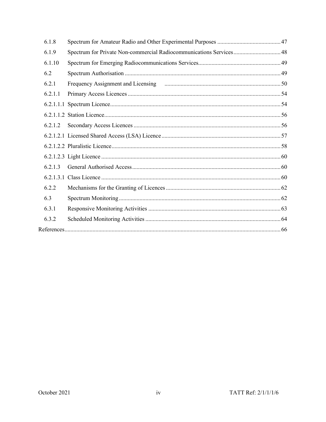| 6.1.8   |                                                                     |
|---------|---------------------------------------------------------------------|
| 6.1.9   | Spectrum for Private Non-commercial Radiocommunications Services 48 |
| 6.1.10  |                                                                     |
| 6.2     |                                                                     |
| 6.2.1   |                                                                     |
| 6.2.1.1 |                                                                     |
|         |                                                                     |
|         |                                                                     |
| 6.2.1.2 |                                                                     |
|         |                                                                     |
|         |                                                                     |
|         |                                                                     |
| 6.2.1.3 |                                                                     |
|         |                                                                     |
| 6.2.2   |                                                                     |
| 6.3     |                                                                     |
| 6.3.1   |                                                                     |
| 6.3.2   |                                                                     |
|         |                                                                     |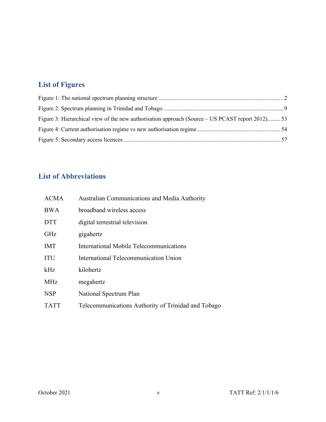# **List of Figures**

| Figure 3: Hierarchical view of the new authorisation approach (Source – US PCAST report 2012)53 |  |
|-------------------------------------------------------------------------------------------------|--|
|                                                                                                 |  |
|                                                                                                 |  |

# **List of Abbreviations**

| <b>ACMA</b> | Australian Communications and Media Authority       |
|-------------|-----------------------------------------------------|
| <b>BWA</b>  | broadband wireless access                           |
| <b>DTT</b>  | digital terrestrial television                      |
| <b>GHz</b>  | gigahertz                                           |
| <b>IMT</b>  | International Mobile Telecommunications             |
| <b>ITU</b>  | International Telecommunication Union               |
| kHz         | kilohertz                                           |
| <b>MHz</b>  | megahertz                                           |
| <b>NSP</b>  | National Spectrum Plan                              |
| <b>TATT</b> | Telecommunications Authority of Trinidad and Tobago |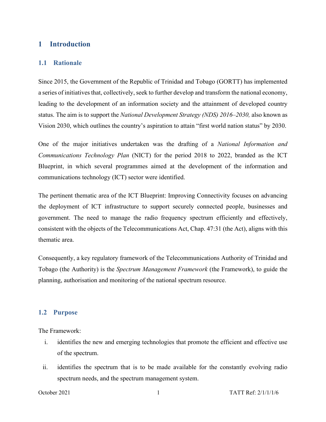# **1 Introduction**

#### **1.1 Rationale**

Since 2015, the Government of the Republic of Trinidad and Tobago (GORTT) has implemented a series of initiatives that, collectively, seek to further develop and transform the national economy, leading to the development of an information society and the attainment of developed country status. The aim is to support the *National Development Strategy (NDS) 2016–2030,* also known as Vision 2030, which outlines the country's aspiration to attain "first world nation status" by 2030.

One of the major initiatives undertaken was the drafting of a *National Information and Communications Technology Plan* (NICT) for the period 2018 to 2022, branded as the ICT Blueprint, in which several programmes aimed at the development of the information and communications technology (ICT) sector were identified.

The pertinent thematic area of the ICT Blueprint: Improving Connectivity focuses on advancing the deployment of ICT infrastructure to support securely connected people, businesses and government. The need to manage the radio frequency spectrum efficiently and effectively, consistent with the objects of the Telecommunications Act, Chap. 47:31 (the Act), aligns with this thematic area.

Consequently, a key regulatory framework of the Telecommunications Authority of Trinidad and Tobago (the Authority) is the *Spectrum Management Framework* (the Framework), to guide the planning, authorisation and monitoring of the national spectrum resource.

#### **1.2 Purpose**

The Framework:

- i. identifies the new and emerging technologies that promote the efficient and effective use of the spectrum.
- ii. identifies the spectrum that is to be made available for the constantly evolving radio spectrum needs, and the spectrum management system.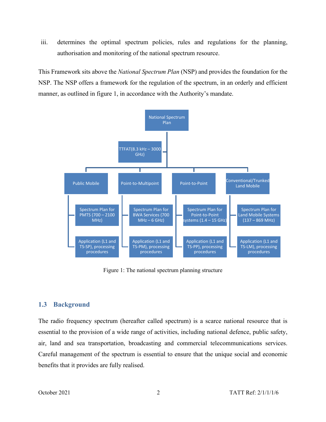iii. determines the optimal spectrum policies, rules and regulations for the planning, authorisation and monitoring of the national spectrum resource.

This Framework sits above the *National Spectrum Plan* (NSP) and provides the foundation for the NSP. The NSP offers a framework for the regulation of the spectrum, in an orderly and efficient manner, as outlined in figure 1, in accordance with the Authority's mandate.



Figure 1: The national spectrum planning structure

# **1.3 Background**

The radio frequency spectrum (hereafter called spectrum) is a scarce national resource that is essential to the provision of a wide range of activities, including national defence, public safety, air, land and sea transportation, broadcasting and commercial telecommunications services. Careful management of the spectrum is essential to ensure that the unique social and economic benefits that it provides are fully realised.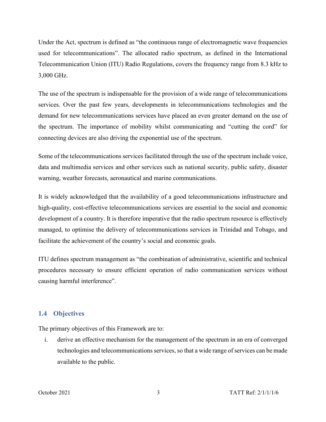Under the Act, spectrum is defined as "the continuous range of electromagnetic wave frequencies used for telecommunications". The allocated radio spectrum, as defined in the International Telecommunication Union (ITU) Radio Regulations, covers the frequency range from 8.3 kHz to 3,000 GHz.

The use of the spectrum is indispensable for the provision of a wide range of telecommunications services. Over the past few years, developments in telecommunications technologies and the demand for new telecommunications services have placed an even greater demand on the use of the spectrum. The importance of mobility whilst communicating and "cutting the cord" for connecting devices are also driving the exponential use of the spectrum.

Some of the telecommunications services facilitated through the use of the spectrum include voice, data and multimedia services and other services such as national security, public safety, disaster warning, weather forecasts, aeronautical and marine communications.

It is widely acknowledged that the availability of a good telecommunications infrastructure and high-quality, cost-effective telecommunications services are essential to the social and economic development of a country. It is therefore imperative that the radio spectrum resource is effectively managed, to optimise the delivery of telecommunications services in Trinidad and Tobago, and facilitate the achievement of the country's social and economic goals.

ITU defines spectrum management as "the combination of administrative, scientific and technical procedures necessary to ensure efficient operation of radio communication services without causing harmful interference".

# **1.4 Objectives**

The primary objectives of this Framework are to:

i. derive an effective mechanism for the management of the spectrum in an era of converged technologies and telecommunications services, so that a wide range of services can be made available to the public.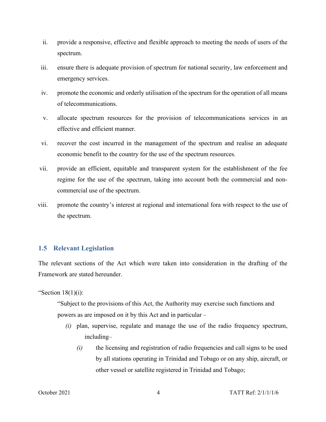- ii. provide a responsive, effective and flexible approach to meeting the needs of users of the spectrum.
- iii. ensure there is adequate provision of spectrum for national security, law enforcement and emergency services.
- iv. promote the economic and orderly utilisation of the spectrum for the operation of all means of telecommunications.
- v. allocate spectrum resources for the provision of telecommunications services in an effective and efficient manner.
- vi. recover the cost incurred in the management of the spectrum and realise an adequate economic benefit to the country for the use of the spectrum resources.
- vii. provide an efficient, equitable and transparent system for the establishment of the fee regime for the use of the spectrum, taking into account both the commercial and noncommercial use of the spectrum.
- viii. promote the country's interest at regional and international fora with respect to the use of the spectrum.

# **1.5 Relevant Legislation**

The relevant sections of the Act which were taken into consideration in the drafting of the Framework are stated hereunder.

"Section  $18(1)(i)$ :

"Subject to the provisions of this Act, the Authority may exercise such functions and powers as are imposed on it by this Act and in particular –

- *(i)* plan, supervise, regulate and manage the use of the radio frequency spectrum, including–
	- *(i)* the licensing and registration of radio frequencies and call signs to be used by all stations operating in Trinidad and Tobago or on any ship, aircraft, or other vessel or satellite registered in Trinidad and Tobago;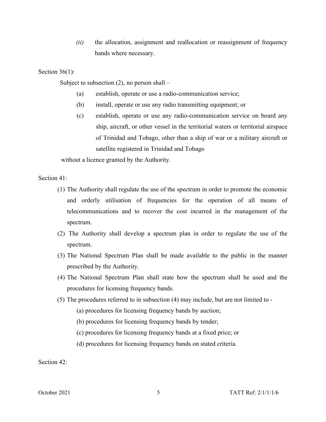*(ii)* the allocation, assignment and reallocation or reassignment of frequency bands where necessary.

Section 36(1):

Subject to subsection  $(2)$ , no person shall –

- (a) establish, operate or use a radio-communication service;
- (b) install, operate or use any radio transmitting equipment; or
- (c) establish, operate or use any radio-communication service on board any ship, aircraft, or other vessel in the territorial waters or territorial airspace of Trinidad and Tobago, other than a ship of war or a military aircraft or satellite registered in Trinidad and Tobago

without a licence granted by the Authority.

Section 41:

- (1) The Authority shall regulate the use of the spectrum in order to promote the economic and orderly utilisation of frequencies for the operation of all means of telecommunications and to recover the cost incurred in the management of the spectrum.
- (2) The Authority shall develop a spectrum plan in order to regulate the use of the spectrum.
- (3) The National Spectrum Plan shall be made available to the public in the manner prescribed by the Authority.
- (4) The National Spectrum Plan shall state how the spectrum shall be used and the procedures for licensing frequency bands.
- (5) The procedures referred to in subsection (4) may include, but are not limited to
	- (a) procedures for licensing frequency bands by auction;
	- (b) procedures for licensing frequency bands by tender;
	- (c) procedures for licensing frequency bands at a fixed price; or
	- (d) procedures for licensing frequency bands on stated criteria.

Section 42: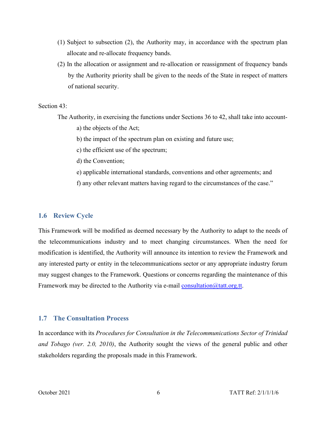- (1) Subject to subsection (2), the Authority may, in accordance with the spectrum plan allocate and re-allocate frequency bands.
- (2) In the allocation or assignment and re-allocation or reassignment of frequency bands by the Authority priority shall be given to the needs of the State in respect of matters of national security.

#### Section 43:

The Authority, in exercising the functions under Sections 36 to 42, shall take into account-

- a) the objects of the Act;
- b) the impact of the spectrum plan on existing and future use;
- c) the efficient use of the spectrum;
- d) the Convention;
- e) applicable international standards, conventions and other agreements; and
- f) any other relevant matters having regard to the circumstances of the case."

#### **1.6 Review Cycle**

This Framework will be modified as deemed necessary by the Authority to adapt to the needs of the telecommunications industry and to meet changing circumstances. When the need for modification is identified, the Authority will announce its intention to review the Framework and any interested party or entity in the telecommunications sector or any appropriate industry forum may suggest changes to the Framework. Questions or concerns regarding the maintenance of this Framework may be directed to the Authority via e-mail [consultation@tatt.org.tt.](mailto:consultation@tatt.org.tt)

#### **1.7 The Consultation Process**

In accordance with its *Procedures for Consultation in the Telecommunications Sector of Trinidad and Tobago (ver. 2.0, 2010)*, the Authority sought the views of the general public and other stakeholders regarding the proposals made in this Framework.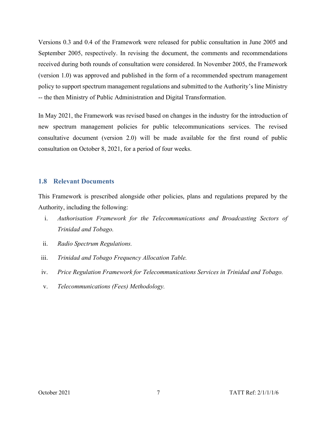Versions 0.3 and 0.4 of the Framework were released for public consultation in June 2005 and September 2005, respectively. In revising the document, the comments and recommendations received during both rounds of consultation were considered. In November 2005, the Framework (version 1.0) was approved and published in the form of a recommended spectrum management policy to support spectrum management regulations and submitted to the Authority's line Ministry -- the then Ministry of Public Administration and Digital Transformation.

In May 2021, the Framework was revised based on changes in the industry for the introduction of new spectrum management policies for public telecommunications services. The revised consultative document (version 2.0) will be made available for the first round of public consultation on October 8, 2021, for a period of four weeks.

#### **1.8 Relevant Documents**

This Framework is prescribed alongside other policies, plans and regulations prepared by the Authority, including the following:

- i. *Authorisation Framework for the Telecommunications and Broadcasting Sectors of Trinidad and Tobago.*
- ii. *Radio Spectrum Regulations.*
- iii. *Trinidad and Tobago Frequency Allocation Table.*
- iv. *Price Regulation Framework for Telecommunications Services in Trinidad and Tobago.*
- v. *Telecommunications (Fees) Methodology.*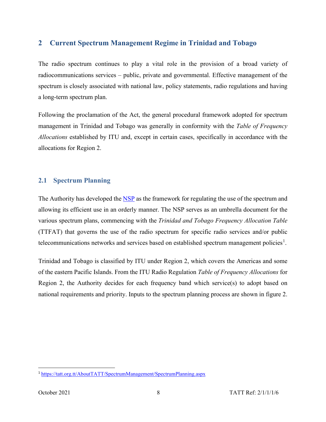# **2 Current Spectrum Management Regime in Trinidad and Tobago**

The radio spectrum continues to play a vital role in the provision of a broad variety of radiocommunications services – public, private and governmental. Effective management of the spectrum is closely associated with national law, policy statements, radio regulations and having a long-term spectrum plan.

Following the proclamation of the Act, the general procedural framework adopted for spectrum management in Trinidad and Tobago was generally in conformity with the *Table of Frequency Allocations* established by ITU and, except in certain cases, specifically in accordance with the allocations for Region 2.

# **2.1 Spectrum Planning**

The Authority has developed the [NSP](https://tatt.org.tt/AboutTATT/SpectrumManagement/SpectrumPlanning.aspx) as the framework for regulating the use of the spectrum and allowing its efficient use in an orderly manner. The NSP serves as an umbrella document for the various spectrum plans, commencing with the *Trinidad and Tobago Frequency Allocation Table* (TTFAT) that governs the use of the radio spectrum for specific radio services and/or public telecommunications networks and services based on established spectrum management policies<sup>[1](#page-13-0)</sup>.

Trinidad and Tobago is classified by ITU under Region 2, which covers the Americas and some of the eastern Pacific Islands. From the ITU Radio Regulation *Table of Frequency Allocations* for Region 2, the Authority decides for each frequency band which service(s) to adopt based on national requirements and priority. Inputs to the spectrum planning process are shown in figure 2.

<span id="page-13-0"></span><sup>1</sup> <https://tatt.org.tt/AboutTATT/SpectrumManagement/SpectrumPlanning.aspx>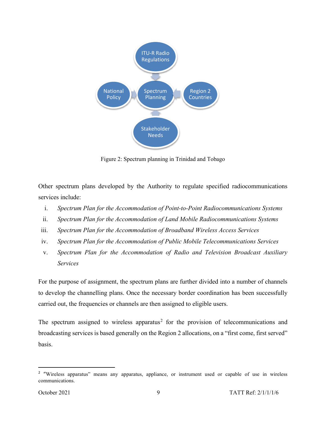

Figure 2: Spectrum planning in Trinidad and Tobago

Other spectrum plans developed by the Authority to regulate specified radiocommunications services include:

- i. *Spectrum Plan for the Accommodation of Point-to-Point Radiocommunications Systems*
- ii. *Spectrum Plan for the Accommodation of Land Mobile Radiocommunications Systems*
- iii. *Spectrum Plan for the Accommodation of Broadband Wireless Access Services*
- iv. *Spectrum Plan for the Accommodation of Public Mobile Telecommunications Services*
- v. *Spectrum Plan for the Accommodation of Radio and Television Broadcast Auxiliary Services*

For the purpose of assignment, the spectrum plans are further divided into a number of channels to develop the channelling plans. Once the necessary border coordination has been successfully carried out, the frequencies or channels are then assigned to eligible users.

The spectrum assigned to wireless apparatus<sup>[2](#page-14-0)</sup> for the provision of telecommunications and broadcasting services is based generally on the Region 2 allocations, on a "first come, first served" basis.

<span id="page-14-0"></span><sup>&</sup>lt;sup>2</sup> "Wireless apparatus" means any apparatus, appliance, or instrument used or capable of use in wireless communications.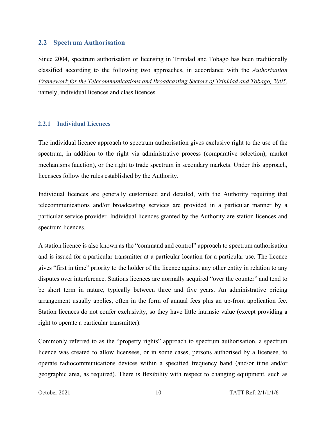#### **2.2 Spectrum Authorisation**

Since 2004, spectrum authorisation or licensing in Trinidad and Tobago has been traditionally classified according to the following two approaches, in accordance with the *Authorisation Framework for the Telecommunications and Broadcasting Sectors of Trinidad and Tobago, 2005*, namely, individual licences and class licences.

#### **2.2.1 Individual Licences**

The individual licence approach to spectrum authorisation gives exclusive right to the use of the spectrum, in addition to the right via administrative process (comparative selection), market mechanisms (auction), or the right to trade spectrum in secondary markets. Under this approach, licensees follow the rules established by the Authority.

Individual licences are generally customised and detailed, with the Authority requiring that telecommunications and/or broadcasting services are provided in a particular manner by a particular service provider. Individual licences granted by the Authority are station licences and spectrum licences.

A station licence is also known as the "command and control" approach to spectrum authorisation and is issued for a particular transmitter at a particular location for a particular use. The licence gives "first in time" priority to the holder of the licence against any other entity in relation to any disputes over interference. Stations licences are normally acquired "over the counter" and tend to be short term in nature, typically between three and five years. An administrative pricing arrangement usually applies, often in the form of annual fees plus an up-front application fee. Station licences do not confer exclusivity, so they have little intrinsic value (except providing a right to operate a particular transmitter).

Commonly referred to as the "property rights" approach to spectrum authorisation, a spectrum licence was created to allow licensees, or in some cases, persons authorised by a licensee, to operate radiocommunications devices within a specified frequency band (and/or time and/or geographic area, as required). There is flexibility with respect to changing equipment, such as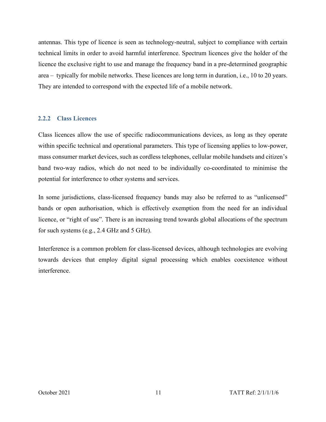antennas. This type of licence is seen as technology-neutral, subject to compliance with certain technical limits in order to avoid harmful interference. Spectrum licences give the holder of the licence the exclusive right to use and manage the frequency band in a pre-determined geographic area – typically for mobile networks. These licences are long term in duration, i.e., 10 to 20 years. They are intended to correspond with the expected life of a mobile network.

## **2.2.2 Class Licences**

Class licences allow the use of specific radiocommunications devices, as long as they operate within specific technical and operational parameters. This type of licensing applies to low-power, mass consumer market devices, such as cordless telephones, cellular mobile handsets and citizen's band two-way radios, which do not need to be individually co-coordinated to minimise the potential for interference to other systems and services.

In some jurisdictions, class-licensed frequency bands may also be referred to as "unlicensed" bands or open authorisation, which is effectively exemption from the need for an individual licence, or "right of use". There is an increasing trend towards global allocations of the spectrum for such systems (e.g., 2.4 GHz and 5 GHz).

Interference is a common problem for class-licensed devices, although technologies are evolving towards devices that employ digital signal processing which enables coexistence without interference.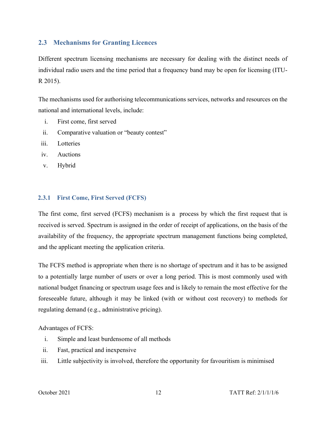# **2.3 Mechanisms for Granting Licences**

Different spectrum licensing mechanisms are necessary for dealing with the distinct needs of individual radio users and the time period that a frequency band may be open for licensing (ITU-R 2015).

The mechanisms used for authorising telecommunications services, networks and resources on the national and international levels, include:

- i. First come, first served
- ii. Comparative valuation or "beauty contest"
- iii. Lotteries
- iv. Auctions
- v. Hybrid

# **2.3.1 First Come, First Served (FCFS)**

The first come, first served (FCFS) mechanism is a process by which the first request that is received is served. Spectrum is assigned in the order of receipt of applications, on the basis of the availability of the frequency, the appropriate spectrum management functions being completed, and the applicant meeting the application criteria.

The FCFS method is appropriate when there is no shortage of spectrum and it has to be assigned to a potentially large number of users or over a long period. This is most commonly used with national budget financing or spectrum usage fees and is likely to remain the most effective for the foreseeable future, although it may be linked (with or without cost recovery) to methods for regulating demand (e.g., administrative pricing).

#### Advantages of FCFS:

- i. Simple and least burdensome of all methods
- ii. Fast, practical and inexpensive
- iii. Little subjectivity is involved, therefore the opportunity for favouritism is minimised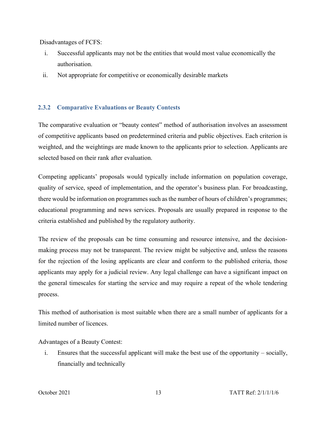Disadvantages of FCFS:

- i. Successful applicants may not be the entities that would most value economically the authorisation.
- ii. Not appropriate for competitive or economically desirable markets

# **2.3.2 Comparative Evaluations or Beauty Contests**

The comparative evaluation or "beauty contest" method of authorisation involves an assessment of competitive applicants based on predetermined criteria and public objectives. Each criterion is weighted, and the weightings are made known to the applicants prior to selection. Applicants are selected based on their rank after evaluation.

Competing applicants' proposals would typically include information on population coverage, quality of service, speed of implementation, and the operator's business plan. For broadcasting, there would be information on programmes such as the number of hours of children's programmes; educational programming and news services. Proposals are usually prepared in response to the criteria established and published by the regulatory authority.

The review of the proposals can be time consuming and resource intensive, and the decisionmaking process may not be transparent. The review might be subjective and, unless the reasons for the rejection of the losing applicants are clear and conform to the published criteria, those applicants may apply for a judicial review. Any legal challenge can have a significant impact on the general timescales for starting the service and may require a repeat of the whole tendering process.

This method of authorisation is most suitable when there are a small number of applicants for a limited number of licences.

Advantages of a Beauty Contest:

i. Ensures that the successful applicant will make the best use of the opportunity – socially, financially and technically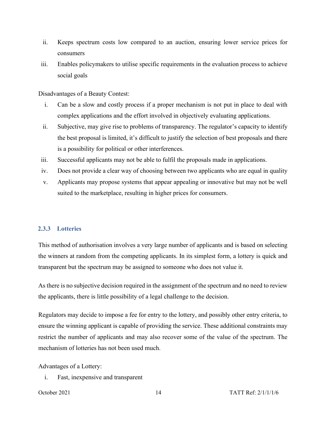- ii. Keeps spectrum costs low compared to an auction, ensuring lower service prices for consumers
- iii. Enables policymakers to utilise specific requirements in the evaluation process to achieve social goals

Disadvantages of a Beauty Contest:

- i. Can be a slow and costly process if a proper mechanism is not put in place to deal with complex applications and the effort involved in objectively evaluating applications.
- ii. Subjective, may give rise to problems of transparency. The regulator's capacity to identify the best proposal is limited, it's difficult to justify the selection of best proposals and there is a possibility for political or other interferences.
- iii. Successful applicants may not be able to fulfil the proposals made in applications.
- iv. Does not provide a clear way of choosing between two applicants who are equal in quality
- v. Applicants may propose systems that appear appealing or innovative but may not be well suited to the marketplace, resulting in higher prices for consumers.

### **2.3.3 Lotteries**

This method of authorisation involves a very large number of applicants and is based on selecting the winners at random from the competing applicants. In its simplest form, a lottery is quick and transparent but the spectrum may be assigned to someone who does not value it.

As there is no subjective decision required in the assignment of the spectrum and no need to review the applicants, there is little possibility of a legal challenge to the decision.

Regulators may decide to impose a fee for entry to the lottery, and possibly other entry criteria, to ensure the winning applicant is capable of providing the service. These additional constraints may restrict the number of applicants and may also recover some of the value of the spectrum. The mechanism of lotteries has not been used much.

Advantages of a Lottery:

i. Fast, inexpensive and transparent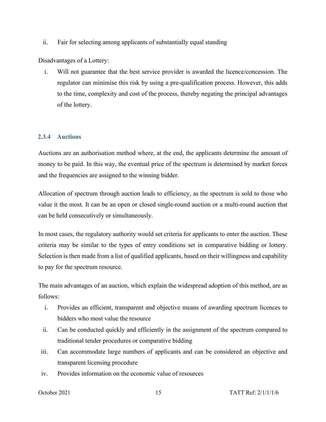ii. Fair for selecting among applicants of substantially equal standing

Disadvantages of a Lottery:

i. Will not guarantee that the best service provider is awarded the licence/concession. The regulator can minimise this risk by using a pre-qualification process. However, this adds to the time, complexity and cost of the process, thereby negating the principal advantages of the lottery.

# **2.3.4 Auctions**

Auctions are an authorisation method where, at the end, the applicants determine the amount of money to be paid. In this way, the eventual price of the spectrum is determined by market forces and the frequencies are assigned to the winning bidder.

Allocation of spectrum through auction leads to efficiency, as the spectrum is sold to those who value it the most. It can be an open or closed single-round auction or a multi-round auction that can be held consecutively or simultaneously.

In most cases, the regulatory authority would set criteria for applicants to enter the auction. These criteria may be similar to the types of entry conditions set in comparative bidding or lottery. Selection is then made from a list of qualified applicants, based on their willingness and capability to pay for the spectrum resource.

The main advantages of an auction, which explain the widespread adoption of this method, are as follows:

- i. Provides an efficient, transparent and objective means of awarding spectrum licences to bidders who most value the resource
- ii. Can be conducted quickly and efficiently in the assignment of the spectrum compared to traditional tender procedures or comparative bidding
- iii. Can accommodate large numbers of applicants and can be considered an objective and transparent licensing procedure
- iv. Provides information on the economic value of resources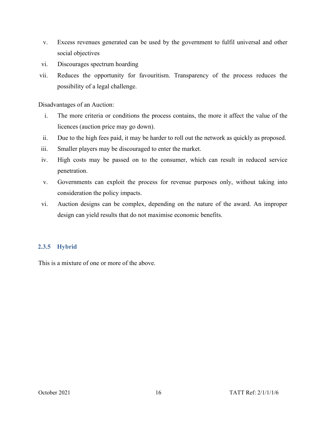- v. Excess revenues generated can be used by the government to fulfil universal and other social objectives
- vi. Discourages spectrum hoarding
- vii. Reduces the opportunity for favouritism. Transparency of the process reduces the possibility of a legal challenge.

Disadvantages of an Auction:

- i. The more criteria or conditions the process contains, the more it affect the value of the licences (auction price may go down).
- ii. Due to the high fees paid, it may be harder to roll out the network as quickly as proposed.
- iii. Smaller players may be discouraged to enter the market.
- iv. High costs may be passed on to the consumer, which can result in reduced service penetration.
- v. Governments can exploit the process for revenue purposes only, without taking into consideration the policy impacts.
- vi. Auction designs can be complex, depending on the nature of the award. An improper design can yield results that do not maximise economic benefits.

# **2.3.5 Hybrid**

This is a mixture of one or more of the above.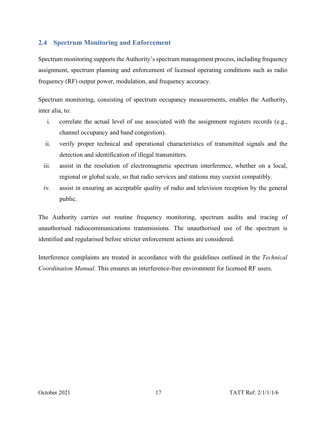# **2.4 Spectrum Monitoring and Enforcement**

Spectrum monitoring supports the Authority's spectrum management process, including frequency assignment, spectrum planning and enforcement of licensed operating conditions such as radio frequency (RF) output power, modulation, and frequency accuracy.

Spectrum monitoring, consisting of spectrum occupancy measurements, enables the Authority, inter alia, to:

- i. correlate the actual level of use associated with the assignment registers records (e.g., channel occupancy and band congestion).
- ii. verify proper technical and operational characteristics of transmitted signals and the detection and identification of illegal transmitters.
- iii. assist in the resolution of electromagnetic spectrum interference, whether on a local, regional or global scale, so that radio services and stations may coexist compatibly.
- iv. assist in ensuring an acceptable quality of radio and television reception by the general public.

The Authority carries out routine frequency monitoring, spectrum audits and tracing of unauthorised radiocommunications transmissions. The unauthorised use of the spectrum is identified and regularised before stricter enforcement actions are considered.

Interference complaints are treated in accordance with the guidelines outlined in the *Technical Coordination Manual*. This ensures an interference-free environment for licensed RF users.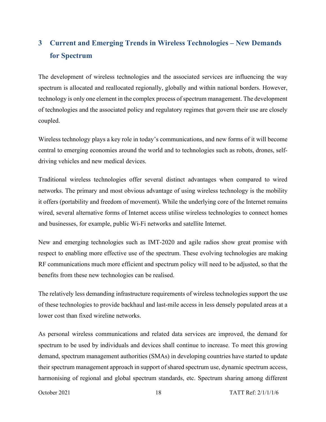# **3 Current and Emerging Trends in Wireless Technologies – New Demands for Spectrum**

The development of wireless technologies and the associated services are influencing the way spectrum is allocated and reallocated regionally, globally and within national borders. However, technology is only one element in the complex process of spectrum management. The development of technologies and the associated policy and regulatory regimes that govern their use are closely coupled.

Wireless technology plays a key role in today's communications, and new forms of it will become central to emerging economies around the world and to technologies such as robots, drones, selfdriving vehicles and new medical devices.

Traditional wireless technologies offer several distinct advantages when compared to wired networks. The primary and most obvious advantage of using wireless technology is the mobility it offers (portability and freedom of movement). While the underlying core of the Internet remains wired, several alternative forms of Internet access utilise wireless technologies to connect homes and businesses, for example, public Wi-Fi networks and satellite Internet.

New and emerging technologies such as IMT-2020 and agile radios show great promise with respect to enabling more effective use of the spectrum. These evolving technologies are making RF communications much more efficient and spectrum policy will need to be adjusted, so that the benefits from these new technologies can be realised.

The relatively less demanding infrastructure requirements of wireless technologies support the use of these technologies to provide backhaul and last-mile access in less densely populated areas at a lower cost than fixed wireline networks.

As personal wireless communications and related data services are improved, the demand for spectrum to be used by individuals and devices shall continue to increase. To meet this growing demand, spectrum management authorities (SMAs) in developing countries have started to update their spectrum management approach in support of shared spectrum use, dynamic spectrum access, harmonising of regional and global spectrum standards, etc. Spectrum sharing among different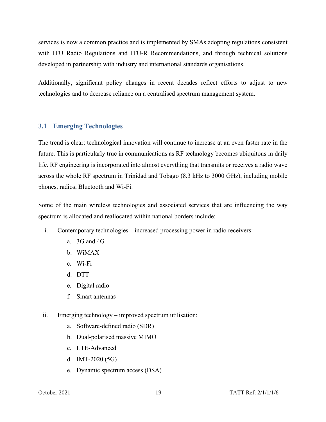services is now a common practice and is implemented by SMAs adopting regulations consistent with ITU Radio Regulations and ITU-R Recommendations, and through technical solutions developed in partnership with industry and international standards organisations.

Additionally, significant policy changes in recent decades reflect efforts to adjust to new technologies and to decrease reliance on a centralised spectrum management system.

## **3.1 Emerging Technologies**

The trend is clear: technological innovation will continue to increase at an even faster rate in the future. This is particularly true in communications as RF technology becomes ubiquitous in daily life. RF engineering is incorporated into almost everything that transmits or receives a radio wave across the whole RF spectrum in Trinidad and Tobago (8.3 kHz to 3000 GHz), including mobile phones, radios, Bluetooth and Wi-Fi.

Some of the main wireless technologies and associated services that are influencing the way spectrum is allocated and reallocated within national borders include:

- i. Contemporary technologies increased processing power in radio receivers:
	- a. 3G and 4G
	- b. WiMAX
	- c. Wi-Fi
	- d. DTT
	- e. Digital radio
	- f. Smart antennas
- ii. Emerging technology improved spectrum utilisation:
	- a. Software-defined radio (SDR)
	- b. Dual-polarised massive MIMO
	- c. LTE-Advanced
	- d. IMT-2020 (5G)
	- e. Dynamic spectrum access (DSA)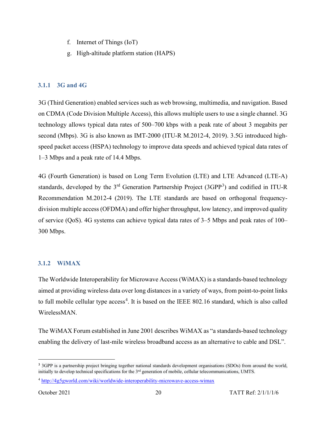- f. Internet of Things (IoT)
- g. High-altitude platform station (HAPS)

# **3.1.1 3G and 4G**

3G (Third Generation) enabled services such as web browsing, multimedia, and navigation. Based on CDMA (Code Division Multiple Access), this allows multiple users to use a single channel. 3G technology allows typical data rates of 500–700 kbps with a peak rate of about 3 megabits per second (Mbps). 3G is also known as IMT-2000 (ITU-R M.2012-4, 2019). 3.5G introduced highspeed packet access (HSPA) technology to improve data speeds and achieved typical data rates of 1–3 Mbps and a peak rate of 14.4 Mbps.

4G (Fourth Generation) is based on Long Term Evolution (LTE) and LTE Advanced (LTE-A) standards, developed by the [3](#page-25-0)<sup>rd</sup> Generation Partnership Project (3GPP<sup>3</sup>) and codified in ITU-R Recommendation M.2012-4 (2019). The LTE standards are based on orthogonal frequencydivision multiple access (OFDMA) and offer higher throughput, low latency, and improved quality of service (QoS). 4G systems can achieve typical data rates of 3–5 Mbps and peak rates of 100– 300 Mbps.

# **3.1.2 WiMAX**

The Worldwide Interoperability for Microwave Access (WiMAX) is a standards-based technology aimed at providing wireless data over long distances in a variety of ways, from point-to-point links to full mobile cellular type access<sup>[4](#page-25-1)</sup>. It is based on the IEEE 802.16 standard, which is also called WirelessMAN.

The WiMAX Forum established in June 2001 describes WiMAX as "a standards-based technology enabling the delivery of last-mile wireless broadband access as an alternative to cable and DSL".

<span id="page-25-0"></span><sup>&</sup>lt;sup>3</sup> 3GPP is a partnership project bringing together national standards development organisations (SDOs) from around the world, initially to develop technical specifications for the  $3<sup>rd</sup>$  generation of mobile, cellular telecommunications, UMTS.

<span id="page-25-1"></span><sup>4</sup> <http://4g5gworld.com/wiki/worldwide-interoperability-microwave-access-wimax>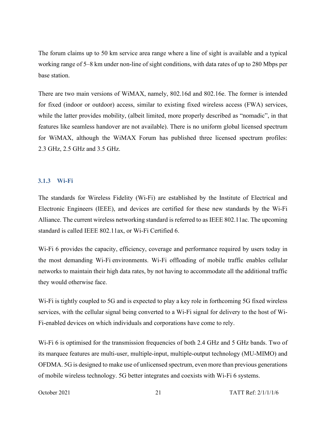The forum claims up to 50 km service area range where a line of sight is available and a typical working range of 5–8 km under non-line of sight conditions, with data rates of up to 280 Mbps per base station.

There are two main versions of WiMAX, namely, 802.16d and 802.16e. The former is intended for fixed (indoor or outdoor) access, similar to existing fixed wireless access (FWA) services, while the latter provides mobility, (albeit limited, more properly described as "nomadic", in that features like seamless handover are not available). There is no uniform global licensed spectrum for WiMAX, although the WiMAX Forum has published three licensed spectrum profiles: 2.3 GHz, 2.5 GHz and 3.5 GHz.

#### **3.1.3 Wi-Fi**

The standards for Wireless Fidelity (Wi-Fi) are established by the Institute of Electrical and Electronic Engineers [\(IEEE\)](https://www.ieee.org/), and devices are certified for these new standards by the [Wi-Fi](https://www.wi-fi.org/)  [Alliance.](https://www.wi-fi.org/) The current wireless networking standard is referred to as IEEE 802.11ac. The upcoming standard is called IEEE 802.11ax, or Wi-Fi Certified 6.

Wi-Fi 6 provides the capacity, efficiency, coverage and performance required by users today in the most demanding Wi-Fi environments. Wi-Fi offloading of mobile traffic enables cellular networks to maintain their high data rates, by not having to accommodate all the additional traffic they would otherwise face.

Wi-Fi is tightly coupled to 5G and is expected to play a key role in forthcoming 5G fixed wireless services, with the cellular signal being converted to a Wi-Fi signal for delivery to the host of Wi-Fi-enabled devices on which individuals and corporations have come to rely.

Wi-Fi 6 is optimised for the transmission frequencies of both 2.4 GHz and 5 GHz bands. Two of its marquee features are multi-user, multiple-input, multiple-output technology (MU-MIMO) and OFDMA. 5G is designed to make use of unlicensed spectrum, even more than previous generations of mobile wireless technology. 5G better integrates and coexists with Wi-Fi 6 systems.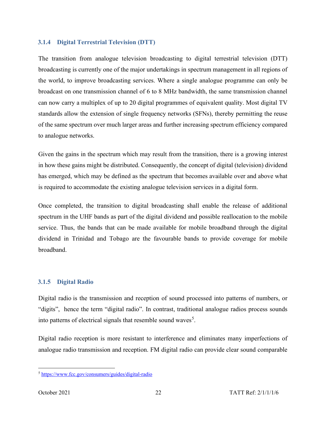#### **3.1.4 Digital Terrestrial Television (DTT)**

The transition from analogue television broadcasting to digital terrestrial television (DTT) broadcasting is currently one of the major undertakings in spectrum management in all regions of the world, to improve broadcasting services. Where a single analogue programme can only be broadcast on one transmission channel of 6 to 8 MHz bandwidth, the same transmission channel can now carry a multiplex of up to 20 digital programmes of equivalent quality. Most digital TV standards allow the extension of single frequency networks (SFNs), thereby permitting the reuse of the same spectrum over much larger areas and further increasing spectrum efficiency compared to analogue networks.

Given the gains in the spectrum which may result from the transition, there is a growing interest in how these gains might be distributed. Consequently, the concept of digital (television) dividend has emerged, which may be defined as the spectrum that becomes available over and above what is required to accommodate the existing analogue television services in a digital form.

Once completed, the transition to digital broadcasting shall enable the release of additional spectrum in the UHF bands as part of the digital dividend and possible reallocation to the mobile service. Thus, the bands that can be made available for mobile broadband through the digital dividend in Trinidad and Tobago are the favourable bands to provide coverage for mobile broadband.

# **3.1.5 Digital Radio**

Digital radio is the transmission and reception of sound processed into patterns of numbers, or "digits", hence the term "digital radio". In contrast, traditional analogue radios process sounds into patterns of electrical signals that resemble sound waves<sup>[5](#page-27-0)</sup>.

Digital radio reception is more resistant to interference and eliminates many imperfections of analogue radio transmission and reception. FM digital radio can provide clear sound comparable

<span id="page-27-0"></span><sup>5</sup> <https://www.fcc.gov/consumers/guides/digital-radio>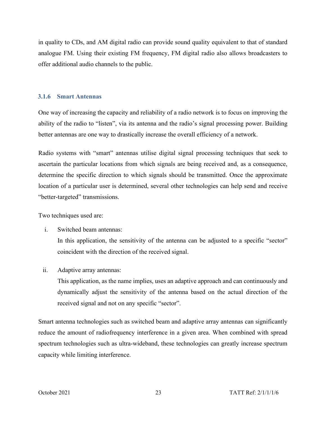in quality to CDs, and AM digital radio can provide sound quality equivalent to that of standard analogue FM. Using their existing FM frequency, FM digital radio also allows broadcasters to offer additional audio channels to the public.

#### **3.1.6 Smart Antennas**

One way of increasing the capacity and reliability of a radio network is to focus on improving the ability of the radio to "listen", via its antenna and the radio's signal processing power. Building better antennas are one way to drastically increase the overall efficiency of a network.

Radio systems with "smart" antennas utilise digital signal processing techniques that seek to ascertain the particular locations from which signals are being received and, as a consequence, determine the specific direction to which signals should be transmitted. Once the approximate location of a particular user is determined, several other technologies can help send and receive "better-targeted" transmissions.

Two techniques used are:

i. Switched beam antennas:

In this application, the sensitivity of the antenna can be adjusted to a specific "sector" coincident with the direction of the received signal.

ii. Adaptive array antennas:

This application, as the name implies, uses an adaptive approach and can continuously and dynamically adjust the sensitivity of the antenna based on the actual direction of the received signal and not on any specific "sector".

Smart antenna technologies such as switched beam and adaptive array antennas can significantly reduce the amount of radiofrequency interference in a given area. When combined with spread spectrum technologies such as ultra-wideband, these technologies can greatly increase spectrum capacity while limiting interference.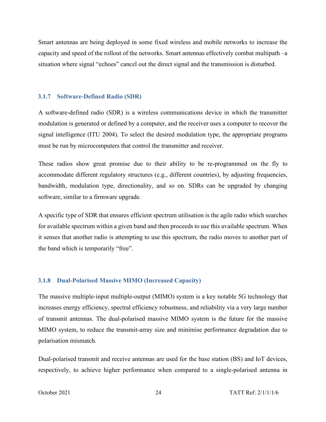Smart antennas are being deployed in some fixed wireless and mobile networks to increase the capacity and speed of the rollout of the networks. Smart antennas effectively combat multipath –a situation where signal "echoes" cancel out the direct signal and the transmission is disturbed.

#### **3.1.7 Software-Defined Radio (SDR)**

A software-defined radio (SDR) is a wireless communications device in which the transmitter modulation is generated or defined by a computer, and the receiver uses a computer to recover the signal intelligence (ITU 2004). To select the desired modulation type, the appropriate programs must be run by microcomputers that control the transmitter and receiver.

These radios show great promise due to their ability to be re-programmed on the fly to accommodate different regulatory structures (e.g., different countries), by adjusting frequencies, bandwidth, modulation type, directionality, and so on. SDRs can be upgraded by changing software, similar to a firmware upgrade.

A specific type of SDR that ensures efficient spectrum utilisation is the agile radio which searches for available spectrum within a given band and then proceeds to use this available spectrum. When it senses that another radio is attempting to use this spectrum, the radio moves to another part of the band which is temporarily "free".

#### **3.1.8 Dual-Polarised Massive MIMO (Increased Capacity)**

The massive multiple-input multiple-output (MIMO) system is a key notable 5G technology that increases energy efficiency, spectral efficiency robustness, and reliability via a very large number of transmit antennas. The dual-polarised massive MIMO system is the future for the massive MIMO system, to reduce the transmit-array size and minimise performance degradation due to polarisation mismatch.

Dual-polarised transmit and receive antennas are used for the base station (BS) and IoT devices, respectively, to achieve higher performance when compared to a single-polarised antenna in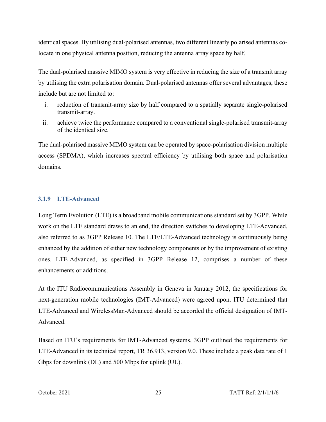identical spaces. By utilising dual-polarised antennas, two different linearly polarised antennas colocate in one physical antenna position, reducing the antenna array space by half.

The dual-polarised massive MIMO system is very effective in reducing the size of a transmit array by utilising the extra polarisation domain. Dual-polarised antennas offer several advantages, these include but are not limited to:

- i. reduction of transmit-array size by half compared to a spatially separate single-polarised transmit-array.
- ii. achieve twice the performance compared to a conventional single-polarised transmit-array of the identical size.

The dual-polarised massive MIMO system can be operated by space-polarisation division multiple access (SPDMA), which increases spectral efficiency by utilising both space and polarisation domains.

## **3.1.9 LTE-Advanced**

Long Term Evolution (LTE) is a broadband mobile communications standard set by 3GPP. While work on the LTE standard draws to an end, the direction switches to developing LTE-Advanced, also referred to as 3GPP Release 10. The LTE/LTE-Advanced technology is continuously being enhanced by the addition of either new technology components or by the improvement of existing ones. LTE-Advanced, as specified in 3GPP Release 12, comprises a number of these enhancements or additions.

At the ITU Radiocommunications Assembly in Geneva in January 2012, the specifications for next-generation mobile technologies (IMT-Advanced) were agreed upon. ITU determined that LTE-Advanced and WirelessMan-Advanced should be accorded the official designation of IMT-Advanced.

Based on ITU's requirements for IMT-Advanced systems, 3GPP outlined the requirements for LTE-Advanced in its technical report, TR 36.913, version 9.0. These include a peak data rate of 1 Gbps for downlink (DL) and 500 Mbps for uplink (UL).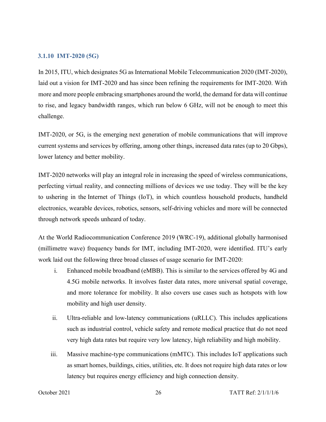#### **3.1.10 IMT-2020 (5G)**

In 2015, ITU, which designates 5G as International Mobile Telecommunication 2020 (IMT-2020), laid out a vision for IMT-2020 and has since been refining the requirements for IMT-2020. With more and more people embracing smartphones around the world, the demand for data will continue to rise, and legacy bandwidth ranges, which run below 6 GHz, will not be enough to meet this challenge.

IMT-2020, or 5G, is the emerging next generation of mobile communications that will improve current systems and services by offering, among other things, increased data rates (up to 20 Gbps), lower latency and better mobility.

IMT-2020 networks will play an integral role in increasing the speed of wireless communications, perfecting virtual reality, and connecting millions of devices we use today. They will be the key to ushering in the Internet of Things (IoT), in which countless household products, handheld electronics, wearable devices, robotics, sensors, self-driving vehicles and more will be connected through network speeds unheard of today.

At the World Radiocommunication Conference 2019 (WRC-19), additional globally harmonised (millimetre wave) frequency bands for IMT, including IMT-2020, were identified. ITU's early work laid out the following three broad classes of usage scenario for IMT-2020:

- i. Enhanced mobile broadband (eMBB). This is similar to the services offered by 4G and 4.5G mobile networks. It involves faster data rates, more universal spatial coverage, and more tolerance for mobility. It also covers use cases such as hotspots with low mobility and high user density.
- ii. Ultra-reliable and low-latency communications (uRLLC). This includes applications such as industrial control, vehicle safety and remote medical practice that do not need very high data rates but require very low latency, high reliability and high mobility.
- iii. Massive machine-type communications (mMTC). This includes IoT applications such as smart homes, buildings, cities, utilities, etc. It does not require high data rates or low latency but requires energy efficiency and high connection density.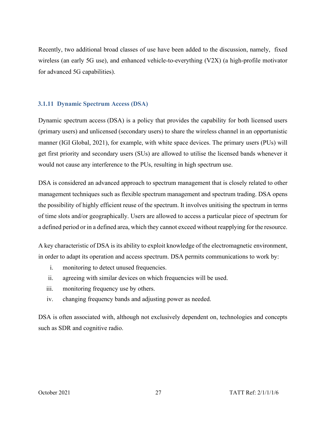Recently, two additional broad classes of use have been added to the discussion, namely, fixed wireless (an early 5G use), and enhanced vehicle-to-everything (V2X) (a high-profile motivator for advanced 5G capabilities).

## **3.1.11 Dynamic Spectrum Access (DSA)**

Dynamic spectrum access (DSA) is a policy that provides the capability for both licensed users (primary users) and unlicensed (secondary users) to share the wireless channel in an opportunistic manner (IGI Global, 2021), for example, with white space devices. The primary users (PUs) will get first priority and secondary users (SUs) are allowed to utilise the licensed bands whenever it would not cause any interference to the PUs, resulting in high spectrum use.

DSA is considered an advanced approach to spectrum management that is closely related to other management techniques such as flexible spectrum management and spectrum trading. DSA opens the possibility of highly efficient reuse of the spectrum. It involves unitising the spectrum in terms of time slots and/or geographically. Users are allowed to access a particular piece of spectrum for a defined period or in a defined area, which they cannot exceed without reapplying for the resource.

A key characteristic of DSA is its ability to exploit knowledge of the electromagnetic environment, in order to adapt its operation and access spectrum. DSA permits communications to work by:

- i. monitoring to detect unused frequencies.
- ii. agreeing with similar devices on which frequencies will be used.
- iii. monitoring frequency use by others.
- iv. changing frequency bands and adjusting power as needed.

DSA is often associated with, although not exclusively dependent on, technologies and concepts such as SDR and cognitive radio.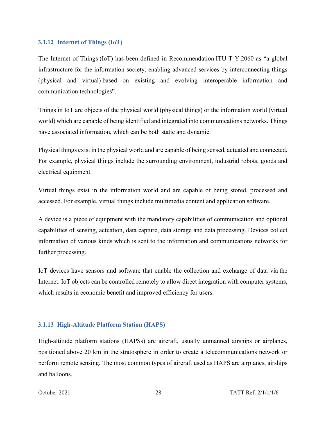#### **3.1.12 Internet of Things (IoT)**

The Internet of Things (IoT) has been defined in Recommendation ITU-T Y.2060 as "a global infrastructure for the information society, enabling advanced services by interconnecting things (physical and virtual) based on existing and evolving interoperable information and communication technologies".

Things in IoT are objects of the physical world (physical things) or the information world (virtual world) which are capable of being identified and integrated into communications networks. Things have associated information, which can be both static and dynamic.

Physical things exist in the physical world and are capable of being sensed, actuated and connected. For example, physical things include the surrounding environment, industrial robots, goods and electrical equipment.

Virtual things exist in the information world and are capable of being stored, processed and accessed. For example, virtual things include multimedia content and application software.

A device is a piece of equipment with the mandatory capabilities of communication and optional capabilities of sensing, actuation, data capture, data storage and data processing. Devices collect information of various kinds which is sent to the information and communications networks for further processing.

IoT devices have sensors and software that enable the collection and exchange of data via [the](https://www.expressvpn.com/blog/what-is-the-internet/)  [Internet.](https://www.expressvpn.com/blog/what-is-the-internet/) IoT objects can be controlled remotely to allow direct integration with computer systems, which results in economic benefit and improved efficiency for users.

#### **3.1.13 High-Altitude Platform Station (HAPS)**

High-altitude platform stations (HAPSs) are aircraft, usually unmanned airships or airplanes, positioned above 20 km in the stratosphere in order to create a telecommunications network or perform remote sensing. The most common types of aircraft used as HAPS are airplanes, airships and balloons.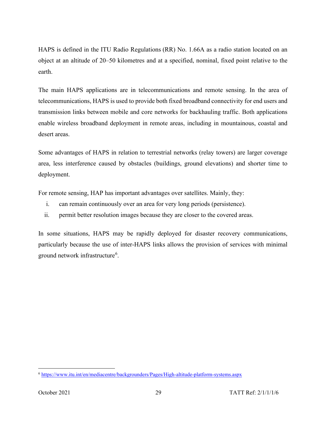HAPS is defined in the ITU Radio Regulations (RR) No. 1.66A as a radio station located on an object at an altitude of 20–50 kilometres and at a specified, nominal, fixed point relative to the earth.

The main HAPS applications are in telecommunications and remote sensing. In the area of telecommunications, HAPS is used to provide both fixed broadband connectivity for end users and transmission links between mobile and core networks for backhauling traffic. Both applications enable wireless broadband deployment in remote areas, including in mountainous, coastal and desert areas.

Some advantages of HAPS in relation to terrestrial networks (relay towers) are larger coverage area, less interference caused by obstacles (buildings, ground elevations) and shorter time to deployment.

For remote sensing, HAP has important advantages over satellites. Mainly, they:

- i. can remain continuously over an area for very long periods (persistence).
- ii. permit better resolution images because they are closer to the covered areas.

In some situations, HAPS may be rapidly deployed for disaster recovery communications, particularly because the use of inter-HAPS links allows the provision of services with minimal ground network infrastructure<sup>[6](#page-34-0)</sup>.

<span id="page-34-0"></span><sup>6</sup> <https://www.itu.int/en/mediacentre/backgrounders/Pages/High-altitude-platform-systems.aspx>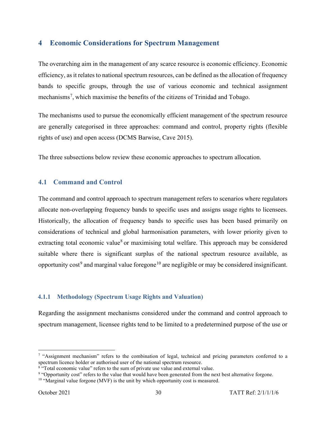# **4 Economic Considerations for Spectrum Management**

The overarching aim in the management of any scarce resource is economic efficiency. Economic efficiency, as it relates to national spectrum resources, can be defined as the allocation of frequency bands to specific groups, through the use of various economic and technical assignment mechanisms<sup>[7](#page-35-0)</sup>, which maximise the benefits of the citizens of Trinidad and Tobago.

The mechanisms used to pursue the economically efficient management of the spectrum resource are generally categorised in three approaches: command and control, property rights (flexible rights of use) and open access (DCMS Barwise, Cave 2015).

The three subsections below review these economic approaches to spectrum allocation.

# **4.1 Command and Control**

The command and control approach to spectrum management refers to scenarios where regulators allocate non-overlapping frequency bands to specific uses and assigns usage rights to licensees. Historically, the allocation of frequency bands to specific uses has been based primarily on considerations of technical and global harmonisation parameters, with lower priority given to extracting total economic value<sup>[8](#page-35-1)</sup> or maximising total welfare. This approach may be considered suitable where there is significant surplus of the national spectrum resource available, as opportunity  $cost^9$  $cost^9$  and marginal value foregone<sup>[10](#page-35-3)</sup> are negligible or may be considered insignificant.

# **4.1.1 Methodology (Spectrum Usage Rights and Valuation)**

Regarding the assignment mechanisms considered under the command and control approach to spectrum management, licensee rights tend to be limited to a predetermined purpose of the use or

<span id="page-35-0"></span><sup>&</sup>lt;sup>7</sup> "Assignment mechanism" refers to the combination of legal, technical and pricing parameters conferred to a spectrum licence holder or authorised user of the national spectrum resource.

<span id="page-35-1"></span> $8 \cdot$  Total economic value" refers to the sum of private use value and external value.

<span id="page-35-2"></span><sup>9</sup> "Opportunity cost" refers to the value that would have been generated from the next best alternative forgone.

<span id="page-35-3"></span><sup>&</sup>lt;sup>10</sup> "Marginal value forgone (MVF) is the unit by which opportunity cost is measured.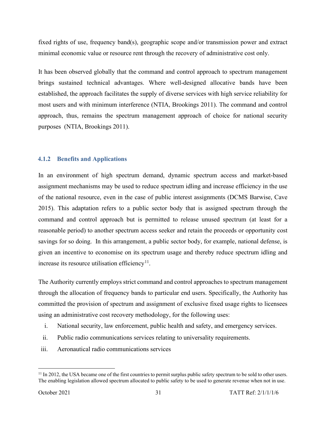fixed rights of use, frequency band(s), geographic scope and/or transmission power and extract minimal economic value or resource rent through the recovery of administrative cost only.

It has been observed globally that the command and control approach to spectrum management brings sustained technical advantages. Where well-designed allocative bands have been established, the approach facilitates the supply of diverse services with high service reliability for most users and with minimum interference (NTIA, Brookings 2011). The command and control approach, thus, remains the spectrum management approach of choice for national security purposes (NTIA, Brookings 2011).

#### **4.1.2 Benefits and Applications**

In an environment of high spectrum demand, dynamic spectrum access and market-based assignment mechanisms may be used to reduce spectrum idling and increase efficiency in the use of the national resource, even in the case of public interest assignments (DCMS Barwise, Cave 2015). This adaptation refers to a public sector body that is assigned spectrum through the command and control approach but is permitted to release unused spectrum (at least for a reasonable period) to another spectrum access seeker and retain the proceeds or opportunity cost savings for so doing. In this arrangement, a public sector body, for example, national defense, is given an incentive to economise on its spectrum usage and thereby reduce spectrum idling and increase its resource utilisation efficiency<sup>11</sup>.

The Authority currently employs strict command and control approaches to spectrum management through the allocation of frequency bands to particular end users. Specifically, the Authority has committed the provision of spectrum and assignment of exclusive fixed usage rights to licensees using an administrative cost recovery methodology, for the following uses:

- i. National security, law enforcement, public health and safety, and emergency services.
- ii. Public radio communications services relating to universality requirements.
- iii. Aeronautical radio communications services

<span id="page-36-0"></span><sup>&</sup>lt;sup>11</sup> In 2012, the USA became one of the first countries to permit surplus public safety spectrum to be sold to other users. The enabling legislation allowed spectrum allocated to public safety to be used to generate revenue when not in use.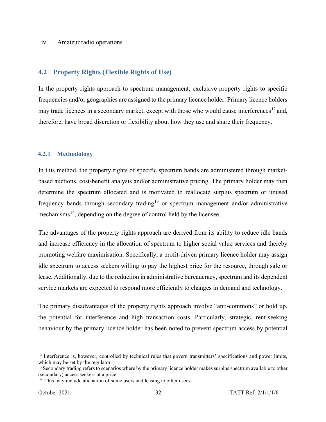#### iv. Amateur radio operations

### **4.2 Property Rights (Flexible Rights of Use)**

In the property rights approach to spectrum management, exclusive property rights to specific frequencies and/or geographies are assigned to the primary licence holder. Primary licence holders may trade licences in a secondary market, except with those who would cause interferences<sup>[12](#page-37-0)</sup> and, therefore, have broad discretion or flexibility about how they use and share their frequency.

#### **4.2.1 Methodology**

In this method, the property rights of specific spectrum bands are administered through marketbased auctions, cost-benefit analysis and/or administrative pricing. The primary holder may then determine the spectrum allocated and is motivated to reallocate surplus spectrum or unused frequency bands through secondary trading<sup>[13](#page-37-1)</sup> or spectrum management and/or administrative mechanisms<sup>[14](#page-37-2)</sup>, depending on the degree of control held by the licensee.

The advantages of the property rights approach are derived from its ability to reduce idle bands and increase efficiency in the allocation of spectrum to higher social value services and thereby promoting welfare maximisation. Specifically, a profit-driven primary licence holder may assign idle spectrum to access seekers willing to pay the highest price for the resource, through sale or lease. Additionally, due to the reduction in administrative bureaucracy, spectrum and its dependent service markets are expected to respond more efficiently to changes in demand and technology.

The primary disadvantages of the property rights approach involve "anti-commons" or hold up, the potential for interference and high transaction costs. Particularly, strategic, rent-seeking behaviour by the primary licence holder has been noted to prevent spectrum access by potential

<span id="page-37-0"></span><sup>&</sup>lt;sup>12</sup> Interference is, however, controlled by technical rules that govern transmitters' specifications and power limits, which may be set by the regulator.

<span id="page-37-1"></span><sup>&</sup>lt;sup>13</sup> Secondary trading refers to scenarios where by the primary licence holder makes surplus spectrum available to other (secondary) access seekers at a price.

<span id="page-37-2"></span><sup>&</sup>lt;sup>14</sup> This may include alienation of some users and leasing to other users.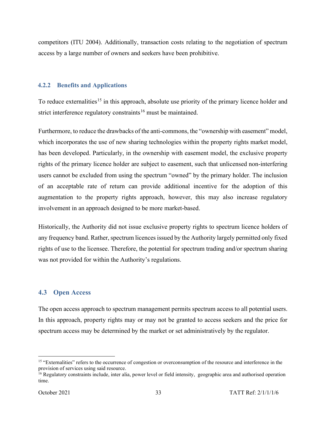competitors (ITU 2004). Additionally, transaction costs relating to the negotiation of spectrum access by a large number of owners and seekers have been prohibitive.

#### **4.2.2 Benefits and Applications**

To reduce externalities<sup>[15](#page-38-0)</sup> in this approach, absolute use priority of the primary licence holder and strict interference regulatory constraints<sup>[16](#page-38-1)</sup> must be maintained.

Furthermore, to reduce the drawbacks of the anti-commons, the "ownership with easement" model, which incorporates the use of new sharing technologies within the property rights market model, has been developed. Particularly, in the ownership with easement model, the exclusive property rights of the primary licence holder are subject to easement, such that unlicensed non-interfering users cannot be excluded from using the spectrum "owned" by the primary holder. The inclusion of an acceptable rate of return can provide additional incentive for the adoption of this augmentation to the property rights approach, however, this may also increase regulatory involvement in an approach designed to be more market-based.

Historically, the Authority did not issue exclusive property rights to spectrum licence holders of any frequency band. Rather, spectrum licencesissued by the Authority largely permitted only fixed rights of use to the licensee. Therefore, the potential for spectrum trading and/or spectrum sharing was not provided for within the Authority's regulations.

## **4.3 Open Access**

The open access approach to spectrum management permits spectrum access to all potential users. In this approach, property rights may or may not be granted to access seekers and the price for spectrum access may be determined by the market or set administratively by the regulator.

<span id="page-38-0"></span><sup>&</sup>lt;sup>15</sup> "Externalities" refers to the occurrence of congestion or overconsumption of the resource and interference in the provision of services using said resource.

<span id="page-38-1"></span><sup>&</sup>lt;sup>16</sup> Regulatory constraints include, inter alia, power level or field intensity, geographic area and authorised operation time.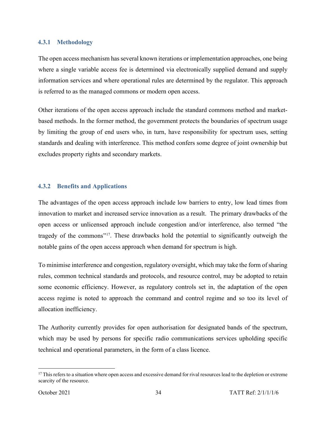#### **4.3.1 Methodology**

The open access mechanism has several known iterations or implementation approaches, one being where a single variable access fee is determined via electronically supplied demand and supply information services and where operational rules are determined by the regulator. This approach is referred to as the managed commons or modern open access.

Other iterations of the open access approach include the standard commons method and marketbased methods. In the former method, the government protects the boundaries of spectrum usage by limiting the group of end users who, in turn, have responsibility for spectrum uses, setting standards and dealing with interference. This method confers some degree of joint ownership but excludes property rights and secondary markets.

#### **4.3.2 Benefits and Applications**

The advantages of the open access approach include low barriers to entry, low lead times from innovation to market and increased service innovation as a result. The primary drawbacks of the open access or unlicensed approach include congestion and/or interference, also termed "the tragedy of the commons"[17.](#page-39-0) These drawbacks hold the potential to significantly outweigh the notable gains of the open access approach when demand for spectrum is high.

To minimise interference and congestion, regulatory oversight, which may take the form of sharing rules, common technical standards and protocols, and resource control, may be adopted to retain some economic efficiency. However, as regulatory controls set in, the adaptation of the open access regime is noted to approach the command and control regime and so too its level of allocation inefficiency.

The Authority currently provides for open authorisation for designated bands of the spectrum, which may be used by persons for specific radio communications services upholding specific technical and operational parameters, in the form of a class licence.

<span id="page-39-0"></span> $17$  This refers to a situation where open access and excessive demand for rival resources lead to the depletion or extreme scarcity of the resource.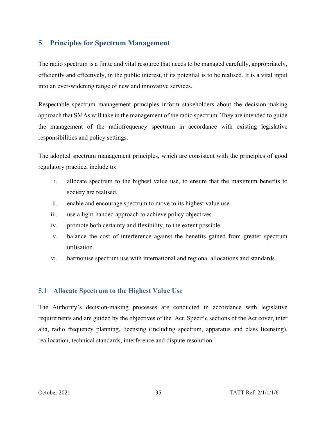# **5 Principles for Spectrum Management**

The radio spectrum is a finite and vital resource that needs to be managed carefully, appropriately, efficiently and effectively, in the public interest, if its potential is to be realised. It is a vital input into an ever-widening range of new and innovative services.

Respectable spectrum management principles inform stakeholders about the decision-making approach that SMAs will take in the management of the radio spectrum. They are intended to guide the management of the radiofrequency spectrum in accordance with existing legislative responsibilities and policy settings.

The adopted spectrum management principles, which are consistent with the principles of good regulatory practice, include to:

- i. allocate spectrum to the highest value use, to ensure that the maximum benefits to society are realised.
- ii. enable and encourage spectrum to move to its highest value use.
- iii. use a light-handed approach to achieve policy objectives.
- iv. promote both certainty and flexibility, to the extent possible.
- v. balance the cost of interference against the benefits gained from greater spectrum utilisation.
- vi. harmonise spectrum use with international and regional allocations and standards.

## **5.1 Allocate Spectrum to the Highest Value Use**

The Authority's decision-making processes are conducted in accordance with legislative requirements and are guided by the objectives of the Act. Specific sections of the Act cover, inter alia, radio frequency planning, licensing (including spectrum, apparatus and class licensing), reallocation, technical standards, interference and dispute resolution.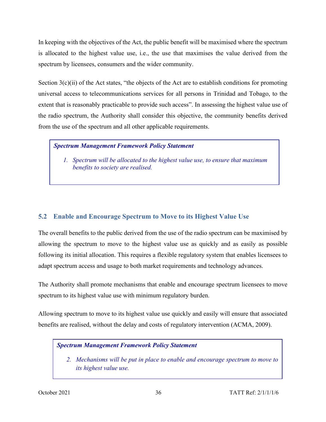In keeping with the objectives of the Act, the public benefit will be maximised where the spectrum is allocated to the highest value use, i.e., the use that maximises the value derived from the spectrum by licensees, consumers and the wider community.

Section  $3(c)(ii)$  of the Act states, "the objects of the Act are to establish conditions for promoting universal access to telecommunications services for all persons in Trinidad and Tobago, to the extent that is reasonably practicable to provide such access". In assessing the highest value use of the radio spectrum, the Authority shall consider this objective, the community benefits derived from the use of the spectrum and all other applicable requirements.

## *Spectrum Management Framework Policy Statement*

*1. Spectrum will be allocated to the highest value use, to ensure that maximum benefits to society are realised.*

# **5.2 Enable and Encourage Spectrum to Move to its Highest Value Use**

The overall benefits to the public derived from the use of the radio spectrum can be maximised by allowing the spectrum to move to the highest value use as quickly and as easily as possible following its initial allocation. This requires a flexible regulatory system that enables licensees to adapt spectrum access and usage to both market requirements and technology advances.

The Authority shall promote mechanisms that enable and encourage spectrum licensees to move spectrum to its highest value use with minimum regulatory burden.

Allowing spectrum to move to its highest value use quickly and easily will ensure that associated benefits are realised, without the delay and costs of regulatory intervention (ACMA, 2009).

## *Spectrum Management Framework Policy Statement*

*2. Mechanisms will be put in place to enable and encourage spectrum to move to its highest value use.*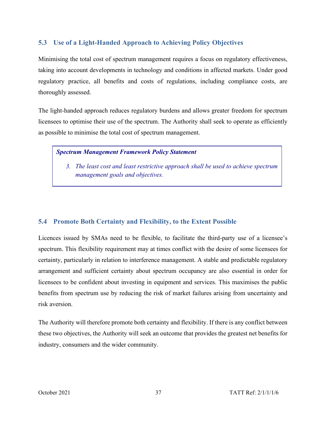# **5.3 Use of a Light-Handed Approach to Achieving Policy Objectives**

Minimising the total cost of spectrum management requires a focus on regulatory effectiveness, taking into account developments in technology and conditions in affected markets. Under good regulatory practice, all benefits and costs of regulations, including compliance costs, are thoroughly assessed.

The light-handed approach reduces regulatory burdens and allows greater freedom for spectrum licensees to optimise their use of the spectrum. The Authority shall seek to operate as efficiently as possible to minimise the total cost of spectrum management.

## *Spectrum Management Framework Policy Statement*

*3. The least cost and least restrictive approach shall be used to achieve spectrum management goals and objectives.* 

# **5.4 Promote Both Certainty and Flexibility, to the Extent Possible**

Licences issued by SMAs need to be flexible, to facilitate the third-party use of a licensee's spectrum. This flexibility requirement may at times conflict with the desire of some licensees for certainty, particularly in relation to interference management. A stable and predictable regulatory arrangement and sufficient certainty about spectrum occupancy are also essential in order for licensees to be confident about investing in equipment and services. This maximises the public benefits from spectrum use by reducing the risk of market failures arising from uncertainty and risk aversion.

The Authority will therefore promote both certainty and flexibility. If there is any conflict between these two objectives, the Authority will seek an outcome that provides the greatest net benefits for industry, consumers and the wider community.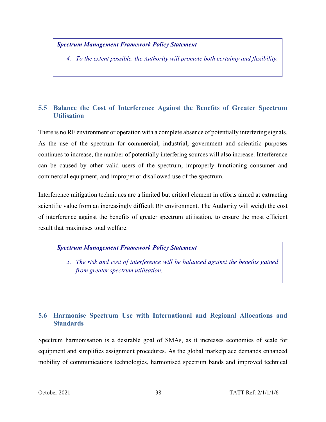### *Spectrum Management Framework Policy Statement*

*4. To the extent possible, the Authority will promote both certainty and flexibility.*

# **5.5 Balance the Cost of Interference Against the Benefits of Greater Spectrum Utilisation**

There is no RF environment or operation with a complete absence of potentially interfering signals. As the use of the spectrum for commercial, industrial, government and scientific purposes continues to increase, the number of potentially interfering sources will also increase. Interference can be caused by other valid users of the spectrum, improperly functioning consumer and commercial equipment, and improper or disallowed use of the spectrum.

Interference mitigation techniques are a limited but critical element in efforts aimed at extracting scientific value from an increasingly difficult RF environment. The Authority will weigh the cost of interference against the benefits of greater spectrum utilisation, to ensure the most efficient result that maximises total welfare.

#### *Spectrum Management Framework Policy Statement*

*5. The risk and cost of interference will be balanced against the benefits gained from greater spectrum utilisation.*

# **5.6 Harmonise Spectrum Use with International and Regional Allocations and Standards**

Spectrum harmonisation is a desirable goal of SMAs, as it increases economies of scale for equipment and simplifies assignment procedures. As the global marketplace demands enhanced mobility of communications technologies, harmonised spectrum bands and improved technical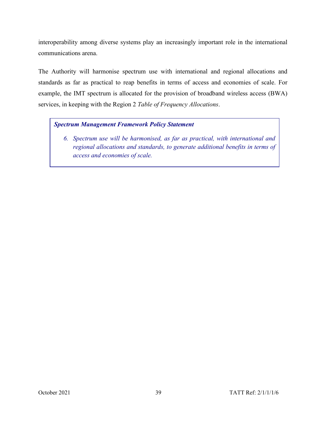interoperability among diverse systems play an increasingly important role in the international communications arena.

The Authority will harmonise spectrum use with international and regional allocations and standards as far as practical to reap benefits in terms of access and economies of scale. For example, the IMT spectrum is allocated for the provision of broadband wireless access (BWA) services, in keeping with the Region 2 *Table of Frequency Allocations*.

## *Spectrum Management Framework Policy Statement*

*6. Spectrum use will be harmonised, as far as practical, with international and regional allocations and standards, to generate additional benefits in terms of access and economies of scale.*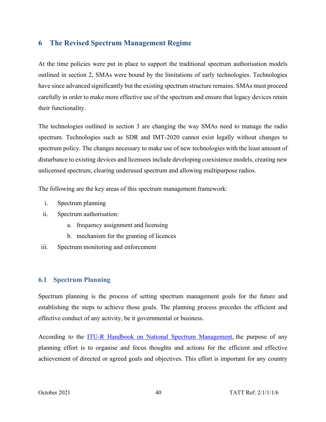## **6 The Revised Spectrum Management Regime**

At the time policies were put in place to support the traditional spectrum authorisation models outlined in section 2, SMAs were bound by the limitations of early technologies. Technologies have since advanced significantly but the existing spectrum structure remains. SMAs must proceed carefully in order to make more effective use of the spectrum and ensure that legacy devices retain their functionality.

The technologies outlined in section 3 are changing the way SMAs need to manage the radio spectrum. Technologies such as SDR and IMT-2020 cannot exist legally without changes to spectrum policy. The changes necessary to make use of new technologies with the least amount of disturbance to existing devices and licensees include developing coexistence models, creating new unlicensed spectrum, clearing underused spectrum and allowing multipurpose radios.

The following are the key areas of this spectrum management framework:

- i. Spectrum planning
- ii. Spectrum authorisation:
	- a. frequency assignment and licensing
	- b. mechanism for the granting of licences
- iii. Spectrum monitoring and enforcement

## **6.1 Spectrum Planning**

Spectrum planning is the process of setting spectrum management goals for the future and establishing the steps to achieve those goals. The planning process precedes the efficient and effective conduct of any activity, be it governmental or business.

According to the [ITU-R Handbook on National Spectrum Management,](http://www.itu.int/pub/R-HDB-21) the purpose of any planning effort is to organise and focus thoughts and actions for the efficient and effective achievement of directed or agreed goals and objectives. This effort is important for any country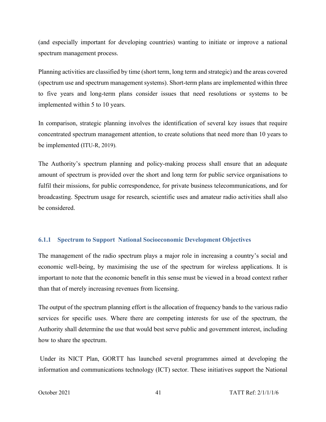(and especially important for developing countries) wanting to initiate or improve a national spectrum management process.

Planning activities are classified by time (short term, long term and strategic) and the areas covered (spectrum use and spectrum management systems). Short-term plans are implemented within three to five years and long-term plans consider issues that need resolutions or systems to be implemented within 5 to 10 years.

In comparison, strategic planning involves the identification of several key issues that require concentrated spectrum management attention, to create solutions that need more than 10 years to be implemented (ITU-R, 2019).

The Authority's spectrum planning and policy-making process shall ensure that an adequate amount of spectrum is provided over the short and long term for public service organisations to fulfil their missions, for public correspondence, for private business telecommunications, and for broadcasting. Spectrum usage for research, scientific uses and amateur radio activities shall also be considered.

### **6.1.1 Spectrum to Support National Socioeconomic Development Objectives**

The management of the radio spectrum plays a major role in increasing a country's social and economic well-being, by maximising the use of the spectrum for wireless applications. It is important to note that the economic benefit in this sense must be viewed in a broad context rather than that of merely increasing revenues from licensing.

The output of the spectrum planning effort is the allocation of frequency bands to the various radio services for specific uses. Where there are competing interests for use of the spectrum, the Authority shall determine the use that would best serve public and government interest, including how to share the spectrum.

Under its NICT Plan, GORTT has launched several programmes aimed at developing the information and communications technology (ICT) sector. These initiatives support the National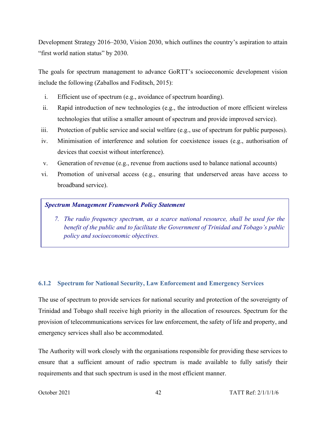Development Strategy 2016–2030, Vision 2030, which outlines the country's aspiration to attain "first world nation status" by 2030.

The goals for spectrum management to advance GoRTT's socioeconomic development vision include the following (Zaballos and Foditsch, 2015):

- i. Efficient use of spectrum (e.g., avoidance of spectrum hoarding).
- ii. Rapid introduction of new technologies (e.g., the introduction of more efficient wireless technologies that utilise a smaller amount of spectrum and provide improved service).
- iii. Protection of public service and social welfare (e.g., use of spectrum for public purposes).
- iv. Minimisation of interference and solution for coexistence issues (e.g., authorisation of devices that coexist without interference).
- v. Generation of revenue (e.g., revenue from auctions used to balance national accounts)
- vi. Promotion of universal access (e.g., ensuring that underserved areas have access to broadband service).

#### *Spectrum Management Framework Policy Statement*

*7. The radio frequency spectrum, as a scarce national resource, shall be used for the benefit of the public and to facilitate the Government of Trinidad and Tobago's public policy and socioeconomic objectives.*

## **6.1.2 Spectrum for National Security, Law Enforcement and Emergency Services**

The use of spectrum to provide services for national security and protection of the sovereignty of Trinidad and Tobago shall receive high priority in the allocation of resources. Spectrum for the provision of telecommunications services for law enforcement, the safety of life and property, and emergency services shall also be accommodated.

The Authority will work closely with the organisations responsible for providing these services to ensure that a sufficient amount of radio spectrum is made available to fully satisfy their requirements and that such spectrum is used in the most efficient manner.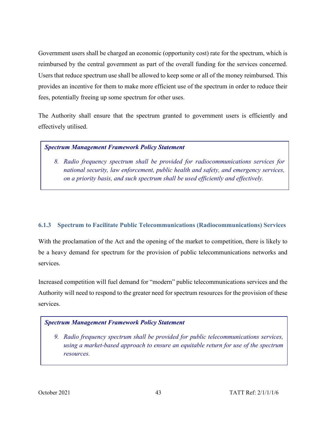Government users shall be charged an economic (opportunity cost) rate for the spectrum, which is reimbursed by the central government as part of the overall funding for the services concerned. Users that reduce spectrum use shall be allowed to keep some or all of the money reimbursed. This provides an incentive for them to make more efficient use of the spectrum in order to reduce their fees, potentially freeing up some spectrum for other uses.

The Authority shall ensure that the spectrum granted to government users is efficiently and effectively utilised.

## *Spectrum Management Framework Policy Statement*

*8. Radio frequency spectrum shall be provided for radiocommunications services for national security, law enforcement, public health and safety, and emergency services, on a priority basis, and such spectrum shall be used efficiently and effectively.* 

# **6.1.3 Spectrum to Facilitate Public Telecommunications (Radiocommunications) Services**

With the proclamation of the Act and the opening of the market to competition, there is likely to be a heavy demand for spectrum for the provision of public telecommunications networks and services.

Increased competition will fuel demand for "modern" public telecommunications services and the Authority will need to respond to the greater need for spectrum resources for the provision of these services.

# *Spectrum Management Framework Policy Statement*

*9. Radio frequency spectrum shall be provided for public telecommunications services, using a market-based approach to ensure an equitable return for use of the spectrum resources.*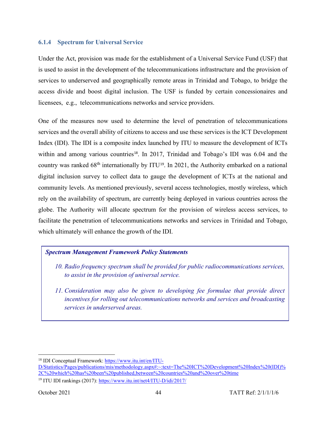#### **6.1.4 Spectrum for Universal Service**

Under the Act, provision was made for the establishment of a Universal Service Fund (USF) that is used to assist in the development of the telecommunications infrastructure and the provision of services to underserved and geographically remote areas in Trinidad and Tobago, to bridge the access divide and boost digital inclusion. The USF is funded by certain concessionaires and licensees, e.g., telecommunications networks and service providers.

One of the measures now used to determine the level of penetration of telecommunications services and the overall ability of citizens to access and use these services is the ICT Development Index (IDI). The IDI is a composite index launched by ITU to measure the development of ICTs within and among various countries<sup>[18](#page-49-0)</sup>. In 2017, Trinidad and Tobago's IDI was  $6.04$  and the country was ranked  $68<sup>th</sup>$  internationally by ITU<sup>[19](#page-49-1)</sup>. In 2021, the Authority embarked on a national digital inclusion survey to collect data to gauge the development of ICTs at the national and community levels. As mentioned previously, several access technologies, mostly wireless, which rely on the availability of spectrum, are currently being deployed in various countries across the globe. The Authority will allocate spectrum for the provision of wireless access services, to facilitate the penetration of telecommunications networks and services in Trinidad and Tobago, which ultimately will enhance the growth of the IDI.

## *Spectrum Management Framework Policy Statements*

- *10. Radio frequency spectrum shall be provided for public radiocommunications services, to assist in the provision of universal service.*
- *11. Consideration may also be given to developing fee formulae that provide direct incentives for rolling out telecommunications networks and services and broadcasting services in underserved areas.*

<span id="page-49-0"></span><sup>&</sup>lt;sup>18</sup> IDI Conceptual Framework: [https://www.itu.int/en/ITU-](https://www.itu.int/en/ITU-D/Statistics/Pages/publications/mis/methodology.aspx#:%7E:text=The%20ICT%20Development%20Index%20(IDI)%2C%20which%20has%20been%20published,between%20countries%20and%20over%20time)

[D/Statistics/Pages/publications/mis/methodology.aspx#:~:text=The%20ICT%20Development%20Index%20\(IDI\)%](https://www.itu.int/en/ITU-D/Statistics/Pages/publications/mis/methodology.aspx#:%7E:text=The%20ICT%20Development%20Index%20(IDI)%2C%20which%20has%20been%20published,between%20countries%20and%20over%20time) [2C%20which%20has%20been%20published,between%20countries%20and%20over%20time](https://www.itu.int/en/ITU-D/Statistics/Pages/publications/mis/methodology.aspx#:%7E:text=The%20ICT%20Development%20Index%20(IDI)%2C%20which%20has%20been%20published,between%20countries%20and%20over%20time)

<span id="page-49-1"></span><sup>19</sup> ITU IDI rankings (2017)[: https://www.itu.int/net4/ITU-D/idi/2017/](https://www.itu.int/net4/ITU-D/idi/2017/)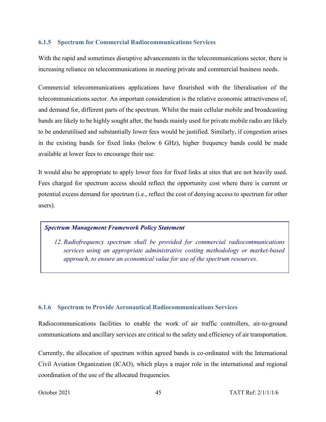#### **6.1.5 Spectrum for Commercial Radiocommunications Services**

With the rapid and sometimes disruptive advancements in the telecommunications sector, there is increasing reliance on telecommunications in meeting private and commercial business needs.

Commercial telecommunications applications have flourished with the liberalisation of the telecommunications sector. An important consideration is the relative economic attractiveness of, and demand for, different parts of the spectrum. Whilst the main cellular mobile and broadcasting bands are likely to be highly sought after, the bands mainly used for private mobile radio are likely to be underutilised and substantially lower fees would be justified. Similarly, if congestion arises in the existing bands for fixed links (below 6 GHz), higher frequency bands could be made available at lower fees to encourage their use.

It would also be appropriate to apply lower fees for fixed links at sites that are not heavily used. Fees charged for spectrum access should reflect the opportunity cost where there is current or potential excess demand for spectrum (i.e., reflect the cost of denying access to spectrum for other users).

#### *Spectrum Management Framework Policy Statement*

*12. Radiofrequency spectrum shall be provided for commercial radiocommunications services using an appropriate administrative costing methodology or market-based approach, to ensure an economical value for use of the spectrum resources.*

## **6.1.6 Spectrum to Provide Aeronautical Radiocommunications Services**

Radiocommunications facilities to enable the work of air traffic controllers, air-to-ground communications and ancillary services are critical to the safety and efficiency of air transportation.

Currently, the allocation of spectrum within agreed bands is co-ordinated with the International Civil Aviation Organization (ICAO), which plays a major role in the international and regional coordination of the use of the allocated frequencies.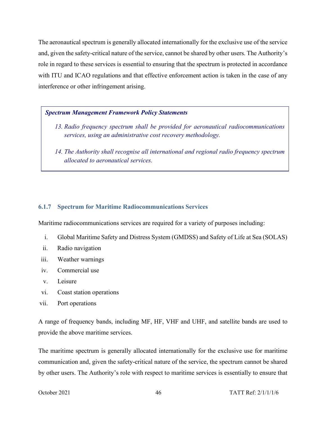The aeronautical spectrum is generally allocated internationally for the exclusive use of the service and, given the safety-critical nature of the service, cannot be shared by other users. The Authority's role in regard to these services is essential to ensuring that the spectrum is protected in accordance with ITU and ICAO regulations and that effective enforcement action is taken in the case of any interference or other infringement arising.

### *Spectrum Management Framework Policy Statements*

- *13. Radio frequency spectrum shall be provided for aeronautical radiocommunications services, using an administrative cost recovery methodology.*
- *14. The Authority shall recognise all international and regional radio frequency spectrum allocated to aeronautical services.*

#### **6.1.7 Spectrum for Maritime Radiocommunications Services**

Maritime radiocommunications services are required for a variety of purposes including:

- i. Global Maritime Safety and Distress System (GMDSS) and Safety of Life at Sea (SOLAS)
- ii. Radio navigation
- iii. Weather warnings
- iv. Commercial use
- v. Leisure
- vi. Coast station operations
- vii. Port operations

A range of frequency bands, including MF, HF, VHF and UHF, and satellite bands are used to provide the above maritime services.

The maritime spectrum is generally allocated internationally for the exclusive use for maritime communication and, given the safety-critical nature of the service, the spectrum cannot be shared by other users. The Authority's role with respect to maritime services is essentially to ensure that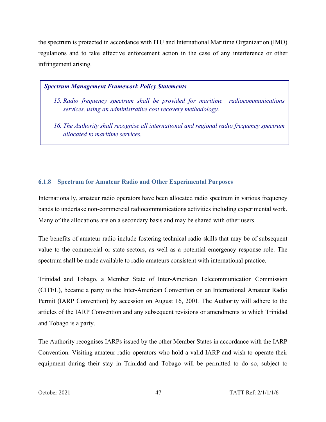the spectrum is protected in accordance with ITU and International Maritime Organization (IMO) regulations and to take effective enforcement action in the case of any interference or other infringement arising.

#### *Spectrum Management Framework Policy Statements*

- *15. Radio frequency spectrum shall be provided for maritime radiocommunications services, using an administrative cost recovery methodology.*
- *16. The Authority shall recognise all international and regional radio frequency spectrum allocated to maritime services.*

## **6.1.8 Spectrum for Amateur Radio and Other Experimental Purposes**

Internationally, amateur radio operators have been allocated radio spectrum in various frequency bands to undertake non-commercial radiocommunications activities including experimental work. Many of the allocations are on a secondary basis and may be shared with other users.

The benefits of amateur radio include fostering technical radio skills that may be of subsequent value to the commercial or state sectors, as well as a potential emergency response role. The spectrum shall be made available to radio amateurs consistent with international practice.

Trinidad and Tobago, a Member State of Inter-American Telecommunication Commission (CITEL), became a party to the Inter-American Convention on an International Amateur Radio Permit (IARP Convention) by accession on August 16, 2001. The Authority will adhere to the articles of the IARP Convention and any subsequent revisions or amendments to which Trinidad and Tobago is a party.

The Authority recognises IARPs issued by the other Member States in accordance with the IARP Convention. Visiting amateur radio operators who hold a valid IARP and wish to operate their equipment during their stay in Trinidad and Tobago will be permitted to do so, subject to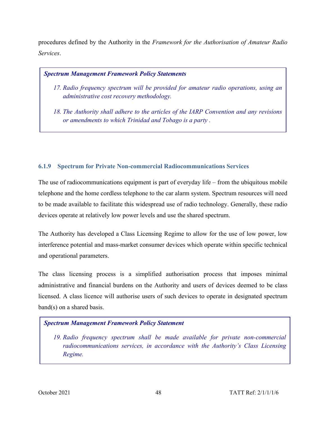procedures defined by the Authority in the *Framework for the Authorisation of Amateur Radio Services*.

### *Spectrum Management Framework Policy Statements*

- *17. Radio frequency spectrum will be provided for amateur radio operations, using an administrative cost recovery methodology.*
- *18. The Authority shall adhere to the articles of the IARP Convention and any revisions or amendments to which Trinidad and Tobago is a party .*

## **6.1.9 Spectrum for Private Non-commercial Radiocommunications Services**

The use of radiocommunications equipment is part of everyday life – from the ubiquitous mobile telephone and the home cordless telephone to the car alarm system. Spectrum resources will need to be made available to facilitate this widespread use of radio technology. Generally, these radio devices operate at relatively low power levels and use the shared spectrum.

The Authority has developed a Class Licensing Regime to allow for the use of low power, low interference potential and mass-market consumer devices which operate within specific technical and operational parameters.

The class licensing process is a simplified authorisation process that imposes minimal administrative and financial burdens on the Authority and users of devices deemed to be class licensed. A class licence will authorise users of such devices to operate in designated spectrum band(s) on a shared basis.

## *Spectrum Management Framework Policy Statement*

*19. Radio frequency spectrum shall be made available for private non-commercial radiocommunications services, in accordance with the Authority's Class Licensing Regime.*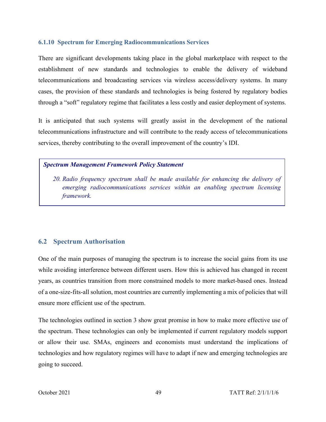#### **6.1.10 Spectrum for Emerging Radiocommunications Services**

There are significant developments taking place in the global marketplace with respect to the establishment of new standards and technologies to enable the delivery of wideband telecommunications and broadcasting services via wireless access/delivery systems. In many cases, the provision of these standards and technologies is being fostered by regulatory bodies through a "soft" regulatory regime that facilitates a less costly and easier deployment of systems.

It is anticipated that such systems will greatly assist in the development of the national telecommunications infrastructure and will contribute to the ready access of telecommunications services, thereby contributing to the overall improvement of the country's IDI.

### *Spectrum Management Framework Policy Statement*

*20. Radio frequency spectrum shall be made available for enhancing the delivery of emerging radiocommunications services within an enabling spectrum licensing framework.*

# **6.2 Spectrum Authorisation**

One of the main purposes of managing the spectrum is to increase the social gains from its use while avoiding interference between different users. How this is achieved has changed in recent years, as countries transition from more constrained models to more market-based ones. Instead of a one-size-fits-all solution, most countries are currently implementing a mix of policies that will ensure more efficient use of the spectrum.

The technologies outlined in section 3 show great promise in how to make more effective use of the spectrum. These technologies can only be implemented if current regulatory models support or allow their use. SMAs, engineers and economists must understand the implications of technologies and how regulatory regimes will have to adapt if new and emerging technologies are going to succeed.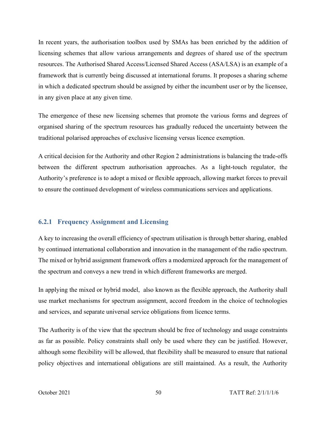In recent years, the authorisation toolbox used by SMAs has been enriched by the addition of licensing schemes that allow various arrangements and degrees of shared use of the spectrum resources. The Authorised Shared Access/Licensed Shared Access (ASA/LSA) is an example of a framework that is currently being discussed at international forums. It proposes a sharing scheme in which a dedicated spectrum should be assigned by either the incumbent user or by the licensee, in any given place at any given time.

The emergence of these new licensing schemes that promote the various forms and degrees of organised sharing of the spectrum resources has gradually reduced the uncertainty between the traditional polarised approaches of exclusive licensing versus licence exemption.

A critical decision for the Authority and other Region 2 administrations is balancing the trade-offs between the different spectrum authorisation approaches. As a light-touch regulator, the Authority's preference is to adopt a mixed or flexible approach, allowing market forces to prevail to ensure the continued development of wireless communications services and applications.

## **6.2.1 Frequency Assignment and Licensing**

A key to increasing the overall efficiency of spectrum utilisation is through better sharing, enabled by continued international collaboration and innovation in the management of the radio spectrum. The mixed or hybrid assignment framework offers a modernized approach for the management of the spectrum and conveys a new trend in which different frameworks are merged.

In applying the mixed or hybrid model, also known as the flexible approach, the Authority shall use market mechanisms for spectrum assignment, accord freedom in the choice of technologies and services, and separate universal service obligations from licence terms.

The Authority is of the view that the spectrum should be free of technology and usage constraints as far as possible. Policy constraints shall only be used where they can be justified. However, although some flexibility will be allowed, that flexibility shall be measured to ensure that national policy objectives and international obligations are still maintained. As a result, the Authority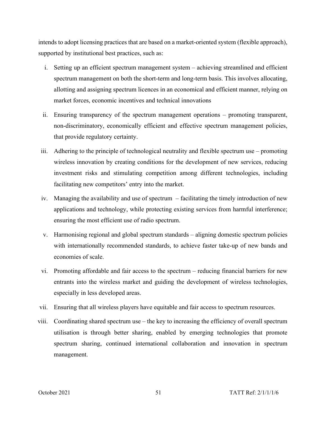intends to adopt licensing practices that are based on a market-oriented system (flexible approach), supported by institutional best practices, such as:

- i. Setting up an efficient spectrum management system achieving streamlined and efficient spectrum management on both the short-term and long-term basis. This involves allocating, allotting and assigning spectrum licences in an economical and efficient manner, relying on market forces, economic incentives and technical innovations
- ii. Ensuring transparency of the spectrum management operations promoting transparent, non-discriminatory, economically efficient and effective spectrum management policies, that provide regulatory certainty.
- iii. Adhering to the principle of technological neutrality and flexible spectrum use *–* promoting wireless innovation by creating conditions for the development of new services, reducing investment risks and stimulating competition among different technologies, including facilitating new competitors' entry into the market.
- iv. Managing the availability and use of spectrum facilitating the timely introduction of new applications and technology, while protecting existing services from harmful interference; ensuring the most efficient use of radio spectrum.
- v. Harmonising regional and global spectrum standards aligning domestic spectrum policies with internationally recommended standards, to achieve faster take-up of new bands and economies of scale.
- vi. Promoting affordable and fair access to the spectrum reducing financial barriers for new entrants into the wireless market and guiding the development of wireless technologies, especially in less developed areas.
- vii. Ensuring that all wireless players have equitable and fair access to spectrum resources.
- viii. Coordinating shared spectrum use the key to increasing the efficiency of overall spectrum utilisation is through better sharing, enabled by emerging technologies that promote spectrum sharing, continued international collaboration and innovation in spectrum management.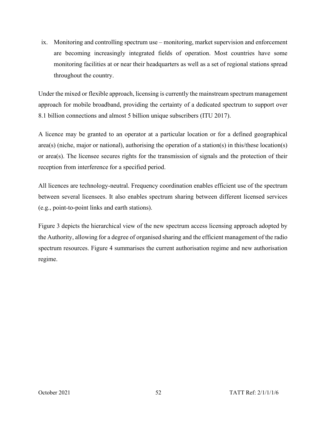ix. Monitoring and controlling spectrum use *–* monitoring, market supervision and enforcement are becoming increasingly integrated fields of operation. Most countries have some monitoring facilities at or near their headquarters as well as a set of regional stations spread throughout the country.

Under the mixed or flexible approach, licensing is currently the mainstream spectrum management approach for mobile broadband, providing the certainty of a dedicated spectrum to support over 8.1 billion connections and almost 5 billion unique subscribers (ITU 2017).

A licence may be granted to an operator at a particular location or for a defined geographical area(s) (niche, major or national), authorising the operation of a station(s) in this/these location(s) or area(s). The licensee secures rights for the transmission of signals and the protection of their reception from interference for a specified period.

All licences are technology-neutral. Frequency coordination enables efficient use of the spectrum between several licensees. It also enables spectrum sharing between different licensed services (e.g., point-to-point links and earth stations).

Figure 3 depicts the hierarchical view of the new spectrum access licensing approach adopted by the Authority, allowing for a degree of organised sharing and the efficient management of the radio spectrum resources. Figure 4 summarises the current authorisation regime and new authorisation regime.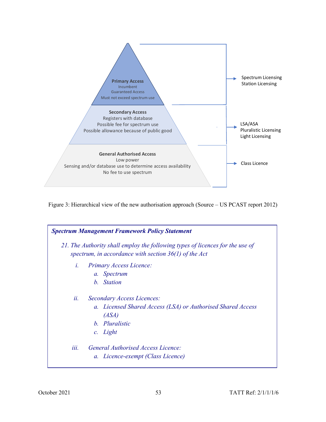

Figure 3: Hierarchical view of the new authorisation approach (Source – US PCAST report 2012)

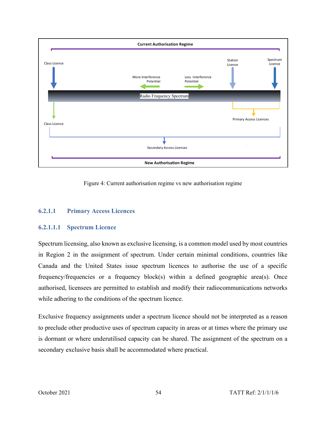

Figure 4: Current authorisation regime vs new authorisation regime

## **6.2.1.1 Primary Access Licences**

## **6.2.1.1.1 Spectrum Licence**

Spectrum licensing, also known as exclusive licensing, is a common model used by most countries in Region 2 in the assignment of spectrum. Under certain minimal conditions, countries like Canada and the United States issue spectrum licences to authorise the use of a specific frequency/frequencies or a frequency block(s) within a defined geographic area(s). Once authorised, licensees are permitted to establish and modify their radiocommunications networks while adhering to the conditions of the spectrum licence.

Exclusive frequency assignments under a spectrum licence should not be interpreted as a reason to preclude other productive uses of spectrum capacity in areas or at times where the primary use is dormant or where underutilised capacity can be shared. The assignment of the spectrum on a secondary exclusive basis shall be accommodated where practical.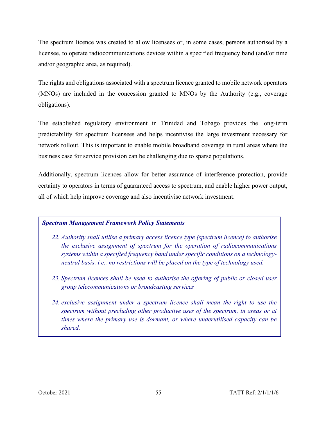The spectrum licence was created to allow licensees or, in some cases, persons authorised by a licensee, to operate radiocommunications devices within a specified frequency band (and/or time and/or geographic area, as required).

The rights and obligations associated with a spectrum licence granted to mobile network operators (MNOs) are included in the concession granted to MNOs by the Authority (e.g., coverage obligations).

The established regulatory environment in Trinidad and Tobago provides the long-term predictability for spectrum licensees and helps incentivise the large investment necessary for network rollout. This is important to enable mobile broadband coverage in rural areas where the business case for service provision can be challenging due to sparse populations.

Additionally, spectrum licences allow for better assurance of interference protection, provide certainty to operators in terms of guaranteed access to spectrum, and enable higher power output, all of which help improve coverage and also incentivise network investment.

#### *Spectrum Management Framework Policy Statements*

- *22. Authority shall utilise a primary access licence type (spectrum licence) to authorise the exclusive assignment of spectrum for the operation of radiocommunications systems within a specified frequency band under specific conditions on a technologyneutral basis, i.e., no restrictions will be placed on the type of technology used.*
- *23. Spectrum licences shall be used to authorise the offering of public or closed user group telecommunications or broadcasting services*
- *24. exclusive assignment under a spectrum licence shall mean the right to use the spectrum without precluding other productive uses of the spectrum, in areas or at times where the primary use is dormant, or where underutilised capacity can be shared.*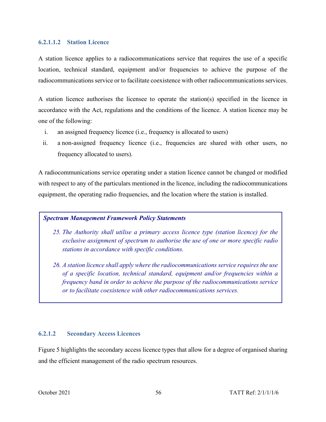#### **6.2.1.1.2 Station Licence**

A station licence applies to a radiocommunications service that requires the use of a specific location, technical standard, equipment and/or frequencies to achieve the purpose of the radiocommunications service or to facilitate coexistence with other radiocommunications services.

A station licence authorises the licensee to operate the station(s) specified in the licence in accordance with the Act, regulations and the conditions of the licence. A station licence may be one of the following:

- i. an assigned frequency licence (i.e., frequency is allocated to users)
- ii. a non-assigned frequency licence (i.e., frequencies are shared with other users, no frequency allocated to users).

A radiocommunications service operating under a station licence cannot be changed or modified with respect to any of the particulars mentioned in the licence, including the radiocommunications equipment, the operating radio frequencies, and the location where the station is installed.

#### *Spectrum Management Framework Policy Statements*

- *25. The Authority shall utilise a primary access licence type (station licence) for the exclusive assignment of spectrum to authorise the use of one or more specific radio stations in accordance with specific conditions.*
- *26. A station licence shall apply where the radiocommunications service requires the use of a specific location, technical standard, equipment and/or frequencies within a frequency band in order to achieve the purpose of the radiocommunications service or to facilitate coexistence with other radiocommunications services.*

#### **6.2.1.2 Secondary Access Licences**

Figure 5 highlights the secondary access licence types that allow for a degree of organised sharing and the efficient management of the radio spectrum resources.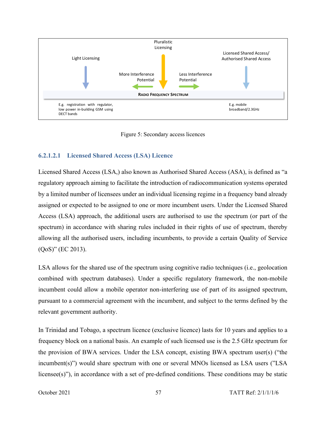

Figure 5: Secondary access licences

### **6.2.1.2.1 Licensed Shared Access (LSA) Licence**

Licensed Shared Access (LSA,) also known as Authorised Shared Access (ASA), is defined as "a regulatory approach aiming to facilitate the introduction of radiocommunication systems operated by a limited number of licensees under an individual licensing regime in a frequency band already assigned or expected to be assigned to one or more incumbent users. Under the Licensed Shared Access (LSA) approach, the additional users are authorised to use the spectrum (or part of the spectrum) in accordance with sharing rules included in their rights of use of spectrum, thereby allowing all the authorised users, including incumbents, to provide a certain Quality of Service (QoS)" (EC 2013).

LSA allows for the shared use of the spectrum using cognitive radio techniques (i.e., geolocation combined with spectrum databases). Under a specific regulatory framework, the non-mobile incumbent could allow a mobile operator non-interfering use of part of its assigned spectrum, pursuant to a commercial agreement with the incumbent, and subject to the terms defined by the relevant government authority.

In Trinidad and Tobago, a spectrum licence (exclusive licence) lasts for 10 years and applies to a frequency block on a national basis. An example of such licensed use is the 2.5 GHz spectrum for the provision of BWA services. Under the LSA concept, existing BWA spectrum user(s) ("the incumbent(s)") would share spectrum with one or several MNOs licensed as LSA users ("LSA licensee(s)"), in accordance with a set of pre-defined conditions. These conditions may be static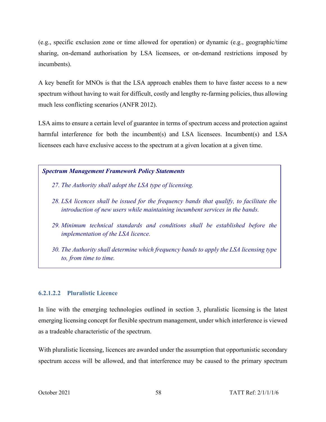(e.g., specific exclusion zone or time allowed for operation) or dynamic (e.g., geographic/time sharing, on-demand authorisation by LSA licensees, or on-demand restrictions imposed by incumbents).

A key benefit for MNOs is that the LSA approach enables them to have faster access to a new spectrum without having to wait for difficult, costly and lengthy re-farming policies, thus allowing much less conflicting scenarios (ANFR 2012).

LSA aims to ensure a certain level of guarantee in terms of spectrum access and protection against harmful interference for both the incumbent(s) and LSA licensees. Incumbent(s) and LSA licensees each have exclusive access to the spectrum at a given location at a given time.

#### *Spectrum Management Framework Policy Statements*

- *27. The Authority shall adopt the LSA type of licensing.*
- *28. LSA licences shall be issued for the frequency bands that qualify, to facilitate the introduction of new users while maintaining incumbent services in the bands.*
- *29. Minimum technical standards and conditions shall be established before the implementation of the LSA licence.*
- *30. The Authority shall determine which frequency bands to apply the LSA licensing type to, from time to time.*

#### **6.2.1.2.2 Pluralistic Licence**

In line with the emerging technologies outlined in section 3, pluralistic licensing is the latest emerging licensing concept for flexible spectrum management, under which interference is viewed as a tradeable characteristic of the spectrum.

With pluralistic licensing, licences are awarded under the assumption that opportunistic secondary spectrum access will be allowed, and that interference may be caused to the primary spectrum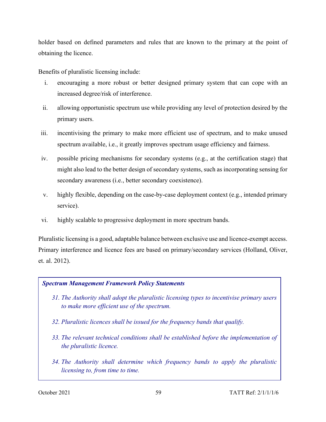holder based on defined parameters and rules that are known to the primary at the point of obtaining the licence.

Benefits of pluralistic licensing include:

- i. encouraging a more robust or better designed primary system that can cope with an increased degree/risk of interference.
- ii. allowing opportunistic spectrum use while providing any level of protection desired by the primary users.
- iii. incentivising the primary to make more efficient use of spectrum, and to make unused spectrum available, i.e., it greatly improves spectrum usage efficiency and fairness.
- iv. possible pricing mechanisms for secondary systems (e.g., at the certification stage) that might also lead to the better design of secondary systems, such as incorporating sensing for secondary awareness (i.e., better secondary coexistence).
- v. highly flexible, depending on the case-by-case deployment context (e.g., intended primary service).
- vi. highly scalable to progressive deployment in more spectrum bands.

Pluralistic licensing is a good, adaptable balance between exclusive use and licence-exempt access. Primary interference and licence fees are based on primary/secondary services (Holland, Oliver, et. al. 2012).

#### *Spectrum Management Framework Policy Statements*

- *31. The Authority shall adopt the pluralistic licensing types to incentivise primary users to make more efficient use of the spectrum.*
- *32. Pluralistic licences shall be issued for the frequency bands that qualify.*
- *33. The relevant technical conditions shall be established before the implementation of the pluralistic licence.*
- *34. The Authority shall determine which frequency bands to apply the pluralistic licensing to, from time to time.*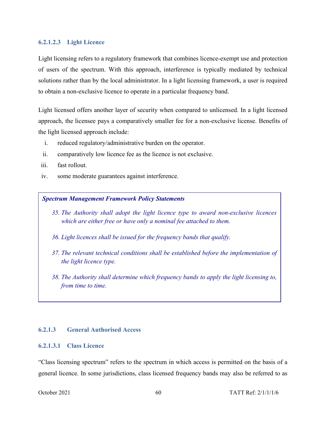#### **6.2.1.2.3 Light Licence**

Light licensing refers to a regulatory framework that combines licence-exempt use and protection of users of the spectrum. With this approach, interference is typically mediated by technical solutions rather than by the local administrator. In a light licensing framework, a user is required to obtain a non-exclusive licence to operate in a particular frequency band.

Light licensed offers another layer of security when compared to unlicensed. In a light licensed approach, the licensee pays a comparatively smaller fee for a non-exclusive license. Benefits of the light licensed approach include:

- i. reduced regulatory/administrative burden on the operator.
- ii. comparatively low licence fee as the licence is not exclusive.
- iii. fast rollout.
- iv. some moderate guarantees against interference.

### *Spectrum Management Framework Policy Statements*

- *35. The Authority shall adopt the light licence type to award non-exclusive licences which are either free or have only a nominal fee attached to them.*
- *36. Light licences shall be issued for the frequency bands that qualify.*
- *37. The relevant technical conditions shall be established before the implementation of the light licence type.*
- *38. The Authority shall determine which frequency bands to apply the light licensing to, from time to time.*

## **6.2.1.3 General Authorised Access**

### **6.2.1.3.1 Class Licence**

"Class licensing spectrum" refers to the spectrum in which access is permitted on the basis of a general licence. In some jurisdictions, class licensed frequency bands may also be referred to as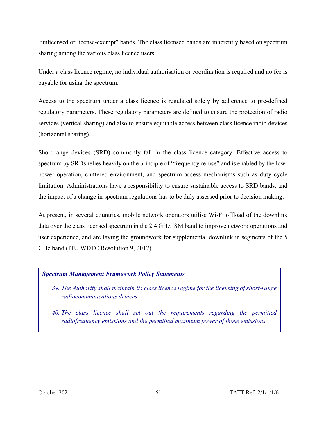"unlicensed or license-exempt" bands. The class licensed bands are inherently based on spectrum sharing among the various class licence users.

Under a class licence regime, no individual authorisation or coordination is required and no fee is payable for using the spectrum.

Access to the spectrum under a class licence is regulated solely by adherence to pre-defined regulatory parameters. These regulatory parameters are defined to ensure the protection of radio services (vertical sharing) and also to ensure equitable access between class licence radio devices (horizontal sharing).

Short-range devices (SRD) commonly fall in the class licence category. Effective access to spectrum by SRDs relies heavily on the principle of "frequency re-use" and is enabled by the lowpower operation, cluttered environment, and spectrum access mechanisms such as duty cycle limitation. Administrations have a responsibility to ensure sustainable access to SRD bands, and the impact of a change in spectrum regulations has to be duly assessed prior to decision making.

At present, in several countries, mobile network operators utilise Wi-Fi offload of the downlink data over the class licensed spectrum in the 2.4 GHz ISM band to improve network operations and user experience, and are laying the groundwork for supplemental downlink in segments of the 5 GHz band (ITU WDTC Resolution 9, 2017).

## *Spectrum Management Framework Policy Statements*

- *39. The Authority shall maintain its class licence regime for the licensing of short-range radiocommunications devices.*
- *40. The class licence shall set out the requirements regarding the permitted radiofrequency emissions and the permitted maximum power of those emissions.*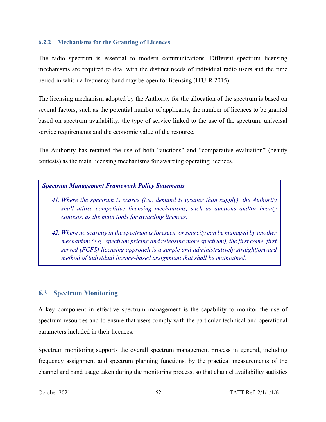### **6.2.2 Mechanisms for the Granting of Licences**

The radio spectrum is essential to modern communications. Different spectrum licensing mechanisms are required to deal with the distinct needs of individual radio users and the time period in which a frequency band may be open for licensing (ITU-R 2015).

The licensing mechanism adopted by the Authority for the allocation of the spectrum is based on several factors, such as the potential number of applicants, the number of licences to be granted based on spectrum availability, the type of service linked to the use of the spectrum, universal service requirements and the economic value of the resource.

The Authority has retained the use of both "auctions" and "comparative evaluation" (beauty contests) as the main licensing mechanisms for awarding operating licences.

### *Spectrum Management Framework Policy Statements*

- *41. Where the spectrum is scarce (i.e., demand is greater than supply), the Authority shall utilise competitive licensing mechanisms, such as auctions and/or beauty contests, as the main tools for awarding licences.*
- *42. Where no scarcity in the spectrum is foreseen, or scarcity can be managed by another mechanism (e.g., spectrum pricing and releasing more spectrum), the first come, first served (FCFS) licensing approach is a simple and administratively straightforward method of individual licence-based assignment that shall be maintained.*

## **6.3 Spectrum Monitoring**

A key component in effective spectrum management is the capability to monitor the use of spectrum resources and to ensure that users comply with the particular technical and operational parameters included in their licences.

Spectrum monitoring supports the overall spectrum management process in general, including frequency assignment and spectrum planning functions, by the practical measurements of the channel and band usage taken during the monitoring process, so that channel availability statistics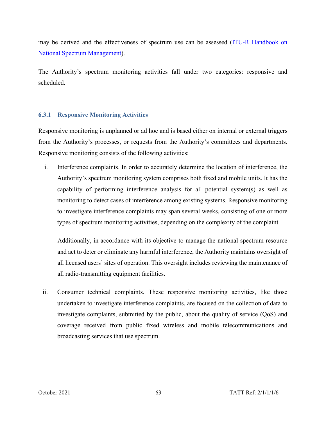may be derived and the effectiveness of spectrum use can be assessed [\(ITU-R Handbook on](http://www.itu.int/pub/R-HDB-21)  [National Spectrum Management\)](http://www.itu.int/pub/R-HDB-21).

The Authority's spectrum monitoring activities fall under two categories: responsive and scheduled.

### **6.3.1 Responsive Monitoring Activities**

Responsive monitoring is unplanned or ad hoc and is based either on internal or external triggers from the Authority's processes, or requests from the Authority's committees and departments. Responsive monitoring consists of the following activities:

i. Interference complaints. In order to accurately determine the location of interference, the Authority's spectrum monitoring system comprises both fixed and mobile units. It has the capability of performing interference analysis for all potential system(s) as well as monitoring to detect cases of interference among existing systems. Responsive monitoring to investigate interference complaints may span several weeks, consisting of one or more types of spectrum monitoring activities, depending on the complexity of the complaint.

Additionally, in accordance with its objective to manage the national spectrum resource and act to deter or eliminate any harmful interference, the Authority maintains oversight of all licensed users' sites of operation. This oversight includes reviewing the maintenance of all radio-transmitting equipment facilities.

ii. Consumer technical complaints. These responsive monitoring activities, like those undertaken to investigate interference complaints, are focused on the collection of data to investigate complaints, submitted by the public, about the quality of service (QoS) and coverage received from public fixed wireless and mobile telecommunications and broadcasting services that use spectrum.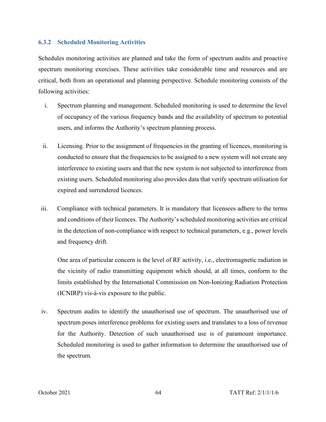#### **6.3.2 Scheduled Monitoring Activities**

Schedules monitoring activities are planned and take the form of spectrum audits and proactive spectrum monitoring exercises. These activities take considerable time and resources and are critical, both from an operational and planning perspective. Schedule monitoring consists of the following activities:

- i. Spectrum planning and management. Scheduled monitoring is used to determine the level of occupancy of the various frequency bands and the availability of spectrum to potential users, and informs the Authority's spectrum planning process.
- ii. Licensing. Prior to the assignment of frequencies in the granting of licences, monitoring is conducted to ensure that the frequencies to be assigned to a new system will not create any interference to existing users and that the new system is not subjected to interference from existing users. Scheduled monitoring also provides data that verify spectrum utilisation for expired and surrendered licences.
- iii. Compliance with technical parameters. It is mandatory that licensees adhere to the terms and conditions of their licences. The Authority's scheduled monitoring activities are critical in the detection of non-compliance with respect to technical parameters, e.g., power levels and frequency drift.

One area of particular concern is the level of RF activity, i.e., electromagnetic radiation in the vicinity of radio transmitting equipment which should, at all times, conform to the limits established by the International Commission on Non-Ionizing Radiation Protection (ICNIRP) vis-à-vis exposure to the public.

iv. Spectrum audits to identify the unauthorised use of spectrum. The unauthorised use of spectrum poses interference problems for existing users and translates to a loss of revenue for the Authority. Detection of such unauthorised use is of paramount importance. Scheduled monitoring is used to gather information to determine the unauthorised use of the spectrum.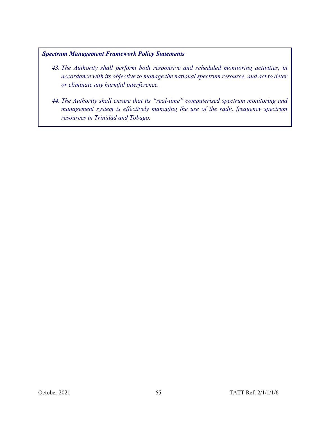## *Spectrum Management Framework Policy Statements*

- *43. The Authority shall perform both responsive and scheduled monitoring activities, in accordance with its objective to manage the national spectrum resource, and act to deter or eliminate any harmful interference.*
- *44. The Authority shall ensure that its "real-time" computerised spectrum monitoring and management system is effectively managing the use of the radio frequency spectrum resources in Trinidad and Tobago.*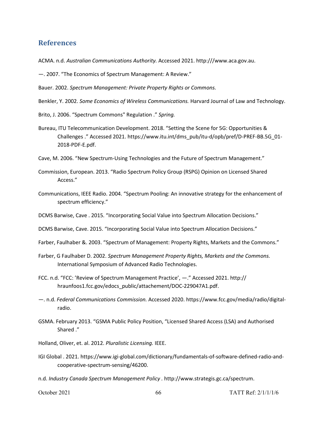## **References**

ACMA. n.d. *Australian Communications Authority.* Accessed 2021. http:///www.aca.gov.au.

—. 2007. "The Economics of Spectrum Management: A Review."

Bauer. 2002. *Spectrum Management: Private Property Rights or Commons.*

Benkler, Y. 2002. *Some Economics of Wireless Communications.* Harvard Journal of Law and Technology.

Brito, J. 2006. "Spectrum Commons" Regulation ." *Spring.*

Bureau, ITU Telecommunication Development. 2018. "Setting the Scene for 5G: Opportunities & Challenges ." Accessed 2021. https://www.itu.int/dms\_pub/itu-d/opb/pref/D-PREF-BB.5G\_01- 2018-PDF-E.pdf.

Cave, M. 2006. "New Spectrum-Using Technologies and the Future of Spectrum Management."

- Commission, European. 2013. "Radio Spectrum Policy Group (RSPG) Opinion on Licensed Shared Access."
- Communications, IEEE Radio. 2004. "Spectrum Pooling: An innovative strategy for the enhancement of spectrum efficiency."

DCMS Barwise, Cave . 2015. "Incorporating Social Value into Spectrum Allocation Decisions."

DCMS Barwise, Cave. 2015. "Incorporating Social Value into Spectrum Allocation Decisions."

Farber, Faulhaber &. 2003. "Spectrum of Management: Property Rights, Markets and the Commons."

- Farber, G Faulhaber D. 2002. *Spectrum Management Property Rights, Markets and the Commons.* International Symposium of Advanced Radio Technologies.
- FCC. n.d. "FCC: 'Review of Spectrum Management Practice', —." Accessed 2021. http:// hraunfoos1.fcc.gov/edocs\_public/attachement/DOC-229047A1.pdf.
- —. n.d. *Federal Communications Commission.* Accessed 2020. https://www.fcc.gov/media/radio/digitalradio.
- GSMA. February 2013. "GSMA Public Policy Position, "Licensed Shared Access (LSA) and Authorised Shared ."

Holland, Oliver, et. al. 2012. *Pluralistic Licensing.* IEEE.

IGI Global . 2021. https://www.igi-global.com/dictionary/fundamentals-of-software-defined-radio-andcooperative-spectrum-sensing/46200.

n.d. *Industry Canada Spectrum Management Policy .* http://www.strategis.gc.ca/spectrum.

October 2021 66 TATT Ref: 2/1/1/1/6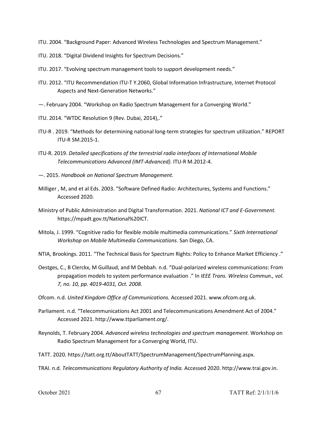- ITU. 2004. "Background Paper: Advanced Wireless Technologies and Spectrum Management."
- ITU. 2018. "Digital Dividend Insights for Spectrum Decisions."
- ITU. 2017. "Evolving spectrum management tools to support development needs."
- ITU. 2012. "ITU Recommendation ITU-T Y.2060, Global Information Infrastructure, Internet Protocol Aspects and Next-Generation Networks."
- —. February 2004. "Workshop on Radio Spectrum Management for a Converging World."
- ITU. 2014. "WTDC Resolution 9 (Rev. Dubai, 2014),."
- ITU-R . 2019. "Methods for determining national long-term strategies for spectrum utilization." REPORT ITU-R SM.2015-1.
- ITU-R. 2019. *Detailed specifications of the terrestrial radio interfaces of International Mobile Telecommunications Advanced (IMT-Advanced).* ITU-R M.2012-4.
- —. 2015. *Handbook on National Spectrum Management.*
- Milliger , M, and et al Eds. 2003. "Software Defined Radio: Architectures, Systems and Functions." Accessed 2020.
- Ministry of Public Administration and Digital Transformation. 2021. *National ICT and E-Government.* https://mpadt.gov.tt/National%20ICT.
- Mitola, J. 1999. "Cognitive radio for flexible mobile multimedia communications." *Sixth International Workshop on Mobile Multimedia Communications.* San Diego, CA.

NTIA, Brookings. 2011. "The Technical Basis for Spectrum Rights: Policy to Enhance Market Efficiency ."

- Oestges, C., B Clerckx, M Guillaud, and M Debbah. n.d. "Dual-polarized wireless communications: From propagation models to system performance evaluation ." In *IEEE Trans. Wireless Commun., vol. 7, no. 10, pp. 4019-4031, Oct. 2008.*
- Ofcom. n.d. *United Kingdom Office of Communications.* Accessed 2021. www.ofcom.org.uk.
- Parliament. n.d. "Telecommunications Act 2001 and Telecommunications Amendment Act of 2004." Accessed 2021. http://www.ttparliament.org/.
- Reynolds, T. February 2004. *Advanced wireless technologies and spectrum management.* Workshop on Radio Spectrum Management for a Converging World, ITU.
- TATT. 2020. https://tatt.org.tt/AboutTATT/SpectrumManagement/SpectrumPlanning.aspx.
- TRAI. n.d. *Telecommunications Regulatory Authority of India.* Accessed 2020. http://www.trai.gov.in.